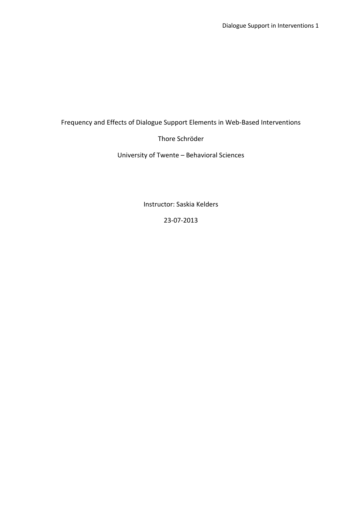# Frequency and Effects of Dialogue Support Elements in Web-Based Interventions

# Thore Schröder

University of Twente – Behavioral Sciences

Instructor: Saskia Kelders

23-07-2013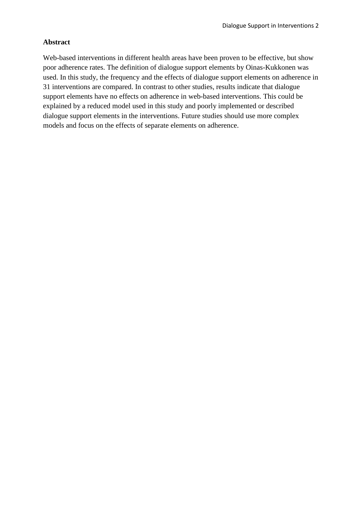## **Abstract**

Web-based interventions in different health areas have been proven to be effective, but show poor adherence rates. The definition of dialogue support elements by Oinas-Kukkonen was used. In this study, the frequency and the effects of dialogue support elements on adherence in 31 interventions are compared. In contrast to other studies, results indicate that dialogue support elements have no effects on adherence in web-based interventions. This could be explained by a reduced model used in this study and poorly implemented or described dialogue support elements in the interventions. Future studies should use more complex models and focus on the effects of separate elements on adherence.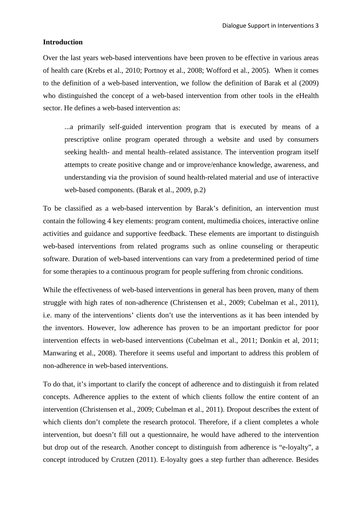## **Introduction**

Over the last years web-based interventions have been proven to be effective in various areas of health care (Krebs et al., 2010; Portnoy et al., 2008; Wofford et al., 2005). When it comes to the definition of a web-based intervention, we follow the definition of Barak et al (2009) who distinguished the concept of a web-based intervention from other tools in the eHealth sector. He defines a web-based intervention as:

...a primarily self-guided intervention program that is executed by means of a prescriptive online program operated through a website and used by consumers seeking health- and mental health–related assistance. The intervention program itself attempts to create positive change and or improve/enhance knowledge, awareness, and understanding via the provision of sound health-related material and use of interactive web-based components. (Barak et al., 2009, p.2)

To be classified as a web-based intervention by Barak's definition, an intervention must contain the following 4 key elements: program content, multimedia choices, interactive online activities and guidance and supportive feedback. These elements are important to distinguish web-based interventions from related programs such as online counseling or therapeutic software. Duration of web-based interventions can vary from a predetermined period of time for some therapies to a continuous program for people suffering from chronic conditions.

While the effectiveness of web-based interventions in general has been proven, many of them struggle with high rates of non-adherence (Christensen et al., 2009; Cubelman et al., 2011), i.e. many of the interventions' clients don't use the interventions as it has been intended by the inventors. However, low adherence has proven to be an important predictor for poor intervention effects in web-based interventions (Cubelman et al., 2011; Donkin et al, 2011; Manwaring et al., 2008). Therefore it seems useful and important to address this problem of non-adherence in web-based interventions.

To do that, it's important to clarify the concept of adherence and to distinguish it from related concepts. Adherence applies to the extent of which clients follow the entire content of an intervention (Christensen et al., 2009; Cubelman et al., 2011). Dropout describes the extent of which clients don't complete the research protocol. Therefore, if a client completes a whole intervention, but doesn't fill out a questionnaire, he would have adhered to the intervention but drop out of the research. Another concept to distinguish from adherence is "e-loyalty", a concept introduced by Crutzen (2011). E-loyalty goes a step further than adherence. Besides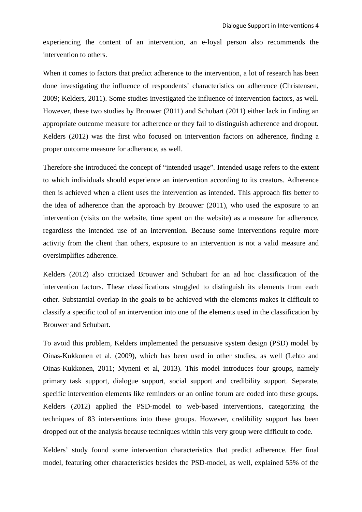experiencing the content of an intervention, an e-loyal person also recommends the intervention to others.

When it comes to factors that predict adherence to the intervention, a lot of research has been done investigating the influence of respondents' characteristics on adherence (Christensen, 2009; Kelders, 2011). Some studies investigated the influence of intervention factors, as well. However, these two studies by Brouwer (2011) and Schubart (2011) either lack in finding an appropriate outcome measure for adherence or they fail to distinguish adherence and dropout. Kelders (2012) was the first who focused on intervention factors on adherence, finding a proper outcome measure for adherence, as well.

Therefore she introduced the concept of "intended usage". Intended usage refers to the extent to which individuals should experience an intervention according to its creators. Adherence then is achieved when a client uses the intervention as intended. This approach fits better to the idea of adherence than the approach by Brouwer (2011), who used the exposure to an intervention (visits on the website, time spent on the website) as a measure for adherence, regardless the intended use of an intervention. Because some interventions require more activity from the client than others, exposure to an intervention is not a valid measure and oversimplifies adherence.

Kelders (2012) also criticized Brouwer and Schubart for an ad hoc classification of the intervention factors. These classifications struggled to distinguish its elements from each other. Substantial overlap in the goals to be achieved with the elements makes it difficult to classify a specific tool of an intervention into one of the elements used in the classification by Brouwer and Schubart.

To avoid this problem, Kelders implemented the persuasive system design (PSD) model by Oinas-Kukkonen et al. (2009), which has been used in other studies, as well (Lehto and Oinas-Kukkonen, 2011; Myneni et al, 2013). This model introduces four groups, namely primary task support, dialogue support, social support and credibility support. Separate, specific intervention elements like reminders or an online forum are coded into these groups. Kelders (2012) applied the PSD-model to web-based interventions, categorizing the techniques of 83 interventions into these groups. However, credibility support has been dropped out of the analysis because techniques within this very group were difficult to code.

Kelders' study found some intervention characteristics that predict adherence. Her final model, featuring other characteristics besides the PSD-model, as well, explained 55% of the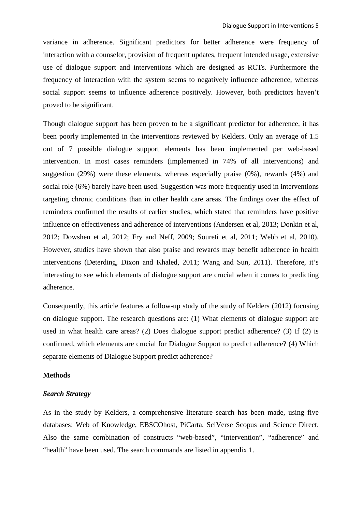variance in adherence. Significant predictors for better adherence were frequency of interaction with a counselor, provision of frequent updates, frequent intended usage, extensive use of dialogue support and interventions which are designed as RCTs. Furthermore the frequency of interaction with the system seems to negatively influence adherence, whereas social support seems to influence adherence positively. However, both predictors haven't proved to be significant.

Though dialogue support has been proven to be a significant predictor for adherence, it has been poorly implemented in the interventions reviewed by Kelders. Only an average of 1.5 out of 7 possible dialogue support elements has been implemented per web-based intervention. In most cases reminders (implemented in 74% of all interventions) and suggestion (29%) were these elements, whereas especially praise (0%), rewards (4%) and social role (6%) barely have been used. Suggestion was more frequently used in interventions targeting chronic conditions than in other health care areas. The findings over the effect of reminders confirmed the results of earlier studies, which stated that reminders have positive influence on effectiveness and adherence of interventions (Andersen et al, 2013; Donkin et al, 2012; Dowshen et al, 2012; Fry and Neff, 2009; Soureti et al, 2011; Webb et al, 2010). However, studies have shown that also praise and rewards may benefit adherence in health interventions (Deterding, Dixon and Khaled, 2011; Wang and Sun, 2011). Therefore, it's interesting to see which elements of dialogue support are crucial when it comes to predicting adherence.

Consequently, this article features a follow-up study of the study of Kelders (2012) focusing on dialogue support. The research questions are: (1) What elements of dialogue support are used in what health care areas? (2) Does dialogue support predict adherence? (3) If (2) is confirmed, which elements are crucial for Dialogue Support to predict adherence? (4) Which separate elements of Dialogue Support predict adherence?

### **Methods**

#### *Search Strategy*

As in the study by Kelders, a comprehensive literature search has been made, using five databases: Web of Knowledge, EBSCOhost, PiCarta, SciVerse Scopus and Science Direct. Also the same combination of constructs "web-based", "intervention", "adherence" and "health" have been used. The search commands are listed in appendix 1.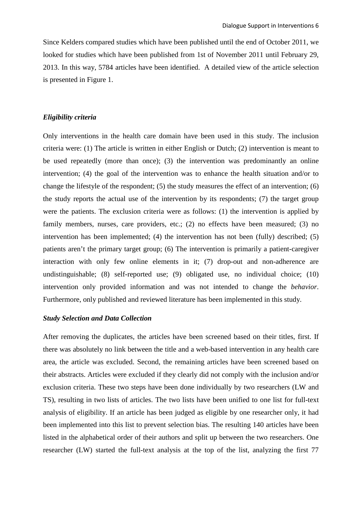Since Kelders compared studies which have been published until the end of October 2011, we looked for studies which have been published from 1st of November 2011 until February 29, 2013. In this way, 5784 articles have been identified. A detailed view of the article selection is presented in Figure 1.

### *Eligibility criteria*

Only interventions in the health care domain have been used in this study. The inclusion criteria were: (1) The article is written in either English or Dutch; (2) intervention is meant to be used repeatedly (more than once); (3) the intervention was predominantly an online intervention; (4) the goal of the intervention was to enhance the health situation and/or to change the lifestyle of the respondent; (5) the study measures the effect of an intervention; (6) the study reports the actual use of the intervention by its respondents; (7) the target group were the patients. The exclusion criteria were as follows: (1) the intervention is applied by family members, nurses, care providers, etc.; (2) no effects have been measured; (3) no intervention has been implemented; (4) the intervention has not been (fully) described; (5) patients aren't the primary target group; (6) The intervention is primarily a patient-caregiver interaction with only few online elements in it; (7) drop-out and non-adherence are undistinguishable; (8) self-reported use; (9) obligated use, no individual choice; (10) intervention only provided information and was not intended to change the *behavior*. Furthermore, only published and reviewed literature has been implemented in this study.

# *Study Selection and Data Collection*

After removing the duplicates, the articles have been screened based on their titles, first. If there was absolutely no link between the title and a web-based intervention in any health care area, the article was excluded. Second, the remaining articles have been screened based on their abstracts. Articles were excluded if they clearly did not comply with the inclusion and/or exclusion criteria. These two steps have been done individually by two researchers (LW and TS), resulting in two lists of articles. The two lists have been unified to one list for full-text analysis of eligibility. If an article has been judged as eligible by one researcher only, it had been implemented into this list to prevent selection bias. The resulting 140 articles have been listed in the alphabetical order of their authors and split up between the two researchers. One researcher (LW) started the full-text analysis at the top of the list, analyzing the first 77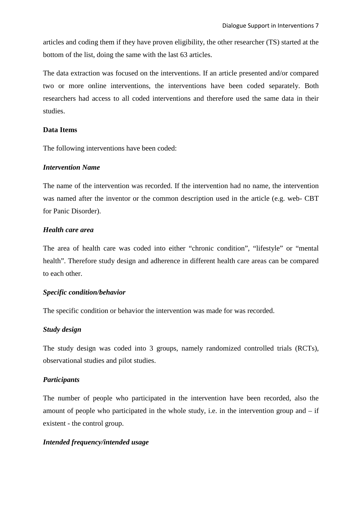articles and coding them if they have proven eligibility, the other researcher (TS) started at the bottom of the list, doing the same with the last 63 articles.

The data extraction was focused on the interventions. If an article presented and/or compared two or more online interventions, the interventions have been coded separately. Both researchers had access to all coded interventions and therefore used the same data in their studies.

# **Data Items**

The following interventions have been coded:

## *Intervention Name*

The name of the intervention was recorded. If the intervention had no name, the intervention was named after the inventor or the common description used in the article (e.g. web- CBT for Panic Disorder).

## *Health care area*

The area of health care was coded into either "chronic condition", "lifestyle" or "mental health". Therefore study design and adherence in different health care areas can be compared to each other.

# *Specific condition/behavior*

The specific condition or behavior the intervention was made for was recorded.

# *Study design*

The study design was coded into 3 groups, namely randomized controlled trials (RCTs), observational studies and pilot studies.

# *Participants*

The number of people who participated in the intervention have been recorded, also the amount of people who participated in the whole study, i.e. in the intervention group and  $-$  if existent - the control group.

# *Intended frequency/intended usage*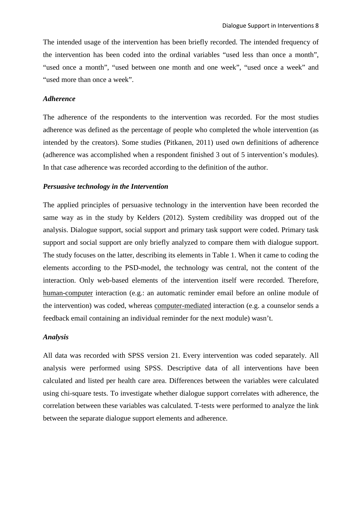The intended usage of the intervention has been briefly recorded. The intended frequency of the intervention has been coded into the ordinal variables "used less than once a month", "used once a month", "used between one month and one week", "used once a week" and "used more than once a week".

## *Adherence*

The adherence of the respondents to the intervention was recorded. For the most studies adherence was defined as the percentage of people who completed the whole intervention (as intended by the creators). Some studies (Pitkanen, 2011) used own definitions of adherence (adherence was accomplished when a respondent finished 3 out of 5 intervention's modules). In that case adherence was recorded according to the definition of the author.

#### *Persuasive technology in the Intervention*

The applied principles of persuasive technology in the intervention have been recorded the same way as in the study by Kelders (2012). System credibility was dropped out of the analysis. Dialogue support, social support and primary task support were coded. Primary task support and social support are only briefly analyzed to compare them with dialogue support. The study focuses on the latter, describing its elements in Table 1. When it came to coding the elements according to the PSD-model, the technology was central, not the content of the interaction. Only web-based elements of the intervention itself were recorded. Therefore, human-computer interaction (e.g.: an automatic reminder email before an online module of the intervention) was coded, whereas computer-mediated interaction (e.g. a counselor sends a feedback email containing an individual reminder for the next module) wasn't.

### *Analysis*

All data was recorded with SPSS version 21. Every intervention was coded separately. All analysis were performed using SPSS. Descriptive data of all interventions have been calculated and listed per health care area. Differences between the variables were calculated using chi-square tests. To investigate whether dialogue support correlates with adherence, the correlation between these variables was calculated. T-tests were performed to analyze the link between the separate dialogue support elements and adherence.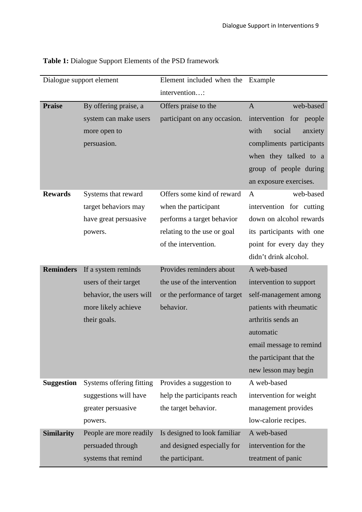|                   | Dialogue support element | Element included when the    | Example                   |  |  |
|-------------------|--------------------------|------------------------------|---------------------------|--|--|
|                   |                          | intervention:                |                           |  |  |
| <b>Praise</b>     | By offering praise, a    | Offers praise to the         | web-based<br>$\mathbf{A}$ |  |  |
|                   | system can make users    | participant on any occasion. | intervention for people   |  |  |
|                   | more open to             |                              | with<br>social<br>anxiety |  |  |
|                   | persuasion.              |                              | compliments participants  |  |  |
|                   |                          |                              | when they talked to a     |  |  |
|                   |                          |                              | group of people during    |  |  |
|                   |                          |                              | an exposure exercises.    |  |  |
| <b>Rewards</b>    | Systems that reward      | Offers some kind of reward   | web-based<br>A            |  |  |
|                   | target behaviors may     | when the participant         | intervention for cutting  |  |  |
|                   | have great persuasive    | performs a target behavior   | down on alcohol rewards   |  |  |
|                   | powers.                  | relating to the use or goal  | its participants with one |  |  |
|                   |                          | of the intervention.         | point for every day they  |  |  |
|                   |                          |                              | didn't drink alcohol.     |  |  |
| <b>Reminders</b>  | If a system reminds      | Provides reminders about     | A web-based               |  |  |
|                   | users of their target    | the use of the intervention  | intervention to support   |  |  |
|                   | behavior, the users will | or the performance of target | self-management among     |  |  |
|                   | more likely achieve      | behavior.                    | patients with rheumatic   |  |  |
|                   | their goals.             |                              | arthritis sends an        |  |  |
|                   |                          |                              | automatic                 |  |  |
|                   |                          |                              | email message to remind   |  |  |
|                   |                          |                              | the participant that the  |  |  |
|                   |                          |                              | new lesson may begin      |  |  |
| <b>Suggestion</b> | Systems offering fitting | Provides a suggestion to     | A web-based               |  |  |
|                   | suggestions will have    | help the participants reach  | intervention for weight   |  |  |
|                   | greater persuasive       | the target behavior.         | management provides       |  |  |
|                   | powers.                  |                              | low-calorie recipes.      |  |  |
| <b>Similarity</b> | People are more readily  | Is designed to look familiar | A web-based               |  |  |
|                   | persuaded through        | and designed especially for  | intervention for the      |  |  |
|                   | systems that remind      | the participant.             | treatment of panic        |  |  |

**Table 1:** Dialogue Support Elements of the PSD framework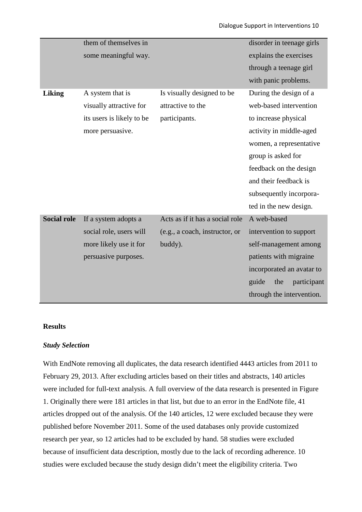|                    | them of themselves in     |                                 | disorder in teenage girls   |
|--------------------|---------------------------|---------------------------------|-----------------------------|
|                    | some meaningful way.      |                                 | explains the exercises      |
|                    |                           |                                 | through a teenage girl      |
|                    |                           |                                 | with panic problems.        |
| <b>Liking</b>      | A system that is          | Is visually designed to be      | During the design of a      |
|                    | visually attractive for   | attractive to the               | web-based intervention      |
|                    | its users is likely to be | participants.                   | to increase physical        |
|                    | more persuasive.          |                                 | activity in middle-aged     |
|                    |                           |                                 | women, a representative     |
|                    |                           |                                 | group is asked for          |
|                    |                           |                                 | feedback on the design      |
|                    |                           |                                 | and their feedback is       |
|                    |                           |                                 | subsequently incorpora-     |
|                    |                           |                                 | ted in the new design.      |
| <b>Social role</b> | If a system adopts a      | Acts as if it has a social role | A web-based                 |
|                    | social role, users will   | (e.g., a coach, instructor, or  | intervention to support     |
|                    | more likely use it for    | buddy).                         | self-management among       |
|                    | persuasive purposes.      |                                 | patients with migraine      |
|                    |                           |                                 | incorporated an avatar to   |
|                    |                           |                                 | guide<br>participant<br>the |
|                    |                           |                                 | through the intervention.   |
|                    |                           |                                 |                             |

# **Results**

# *Study Selection*

With EndNote removing all duplicates, the data research identified 4443 articles from 2011 to February 29, 2013. After excluding articles based on their titles and abstracts, 140 articles were included for full-text analysis. A full overview of the data research is presented in Figure 1. Originally there were 181 articles in that list, but due to an error in the EndNote file, 41 articles dropped out of the analysis. Of the 140 articles, 12 were excluded because they were published before November 2011. Some of the used databases only provide customized research per year, so 12 articles had to be excluded by hand. 58 studies were excluded because of insufficient data description, mostly due to the lack of recording adherence. 10 studies were excluded because the study design didn't meet the eligibility criteria. Two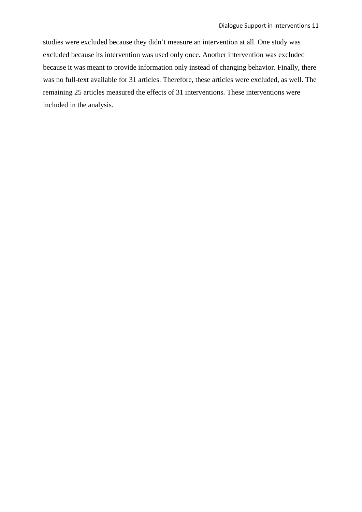studies were excluded because they didn't measure an intervention at all. One study was excluded because its intervention was used only once. Another intervention was excluded because it was meant to provide information only instead of changing behavior. Finally, there was no full-text available for 31 articles. Therefore, these articles were excluded, as well. The remaining 25 articles measured the effects of 31 interventions. These interventions were included in the analysis.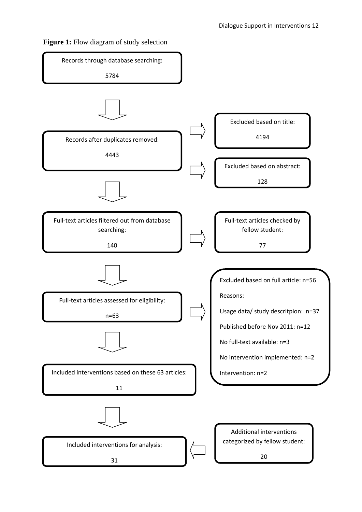

**Figure 1:** Flow diagram of study selection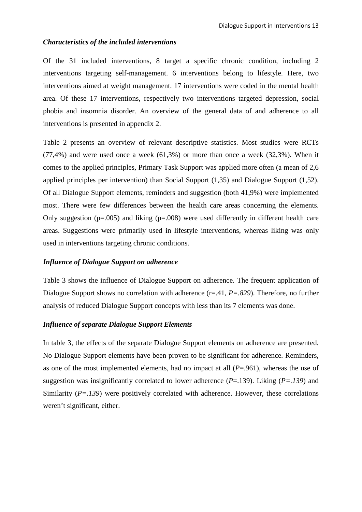#### *Characteristics of the included interventions*

Of the 31 included interventions, 8 target a specific chronic condition, including 2 interventions targeting self-management. 6 interventions belong to lifestyle. Here, two interventions aimed at weight management. 17 interventions were coded in the mental health area. Of these 17 interventions, respectively two interventions targeted depression, social phobia and insomnia disorder. An overview of the general data of and adherence to all interventions is presented in appendix 2.

Table 2 presents an overview of relevant descriptive statistics. Most studies were RCTs (77,4%) and were used once a week (61,3%) or more than once a week (32,3%). When it comes to the applied principles, Primary Task Support was applied more often (a mean of 2,6 applied principles per intervention) than Social Support (1,35) and Dialogue Support (1,52). Of all Dialogue Support elements, reminders and suggestion (both 41,9%) were implemented most. There were few differences between the health care areas concerning the elements. Only suggestion ( $p=.005$ ) and liking ( $p=.008$ ) were used differently in different health care areas. Suggestions were primarily used in lifestyle interventions, whereas liking was only used in interventions targeting chronic conditions.

#### *Influence of Dialogue Support on adherence*

Table 3 shows the influence of Dialogue Support on adherence. The frequent application of Dialogue Support shows no correlation with adherence (r=.41,  $P = .829$ ). Therefore, no further analysis of reduced Dialogue Support concepts with less than its 7 elements was done.

## *Influence of separate Dialogue Support Elements*

In table 3, the effects of the separate Dialogue Support elements on adherence are presented. No Dialogue Support elements have been proven to be significant for adherence. Reminders, as one of the most implemented elements, had no impact at all (*P*=.961), whereas the use of suggestion was insignificantly correlated to lower adherence (*P*=.139). Liking (*P=.139*) and Similarity (*P=.139*) were positively correlated with adherence. However, these correlations weren't significant, either.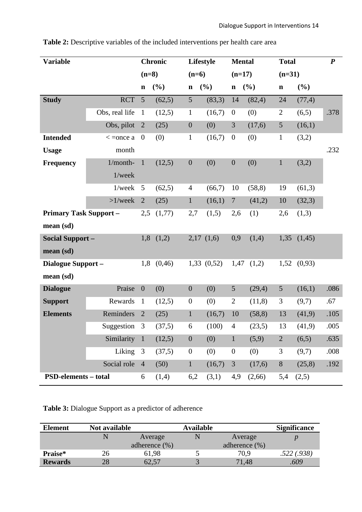| <b>Variable</b>               |                |                  | <b>Chronic</b> | Lifestyle        |            | <b>Mental</b>    |         | <b>Total</b>   |         | $\boldsymbol{P}$ |
|-------------------------------|----------------|------------------|----------------|------------------|------------|------------------|---------|----------------|---------|------------------|
|                               |                | $(n=8)$          |                | $(n=6)$          |            | $(n=17)$         |         | $(n=31)$       |         |                  |
|                               |                | $\mathbf n$      | (%)            | $\mathbf n$      | $(\%)$     | $\mathbf n$      | (%)     | $\mathbf n$    | (%)     |                  |
| <b>Study</b>                  | <b>RCT</b>     | 5                | (62,5)         | 5                | (83,3)     | 14               | (82, 4) | 24             | (77, 4) |                  |
|                               | Obs, real life | $\mathbf{1}$     | (12,5)         | $\mathbf{1}$     | (16,7)     | $\overline{0}$   | (0)     | $\overline{2}$ | (6,5)   | .378             |
|                               | Obs, pilot     | $\overline{2}$   | (25)           | $\boldsymbol{0}$ | (0)        | 3                | (17,6)  | $\mathfrak{S}$ | (16,1)  |                  |
| <b>Intended</b>               | $\lt$ =once a  | $\mathbf{0}$     | (0)            | $\mathbf{1}$     | (16,7)     | $\boldsymbol{0}$ | (0)     | $\mathbf{1}$   | (3,2)   |                  |
| <b>Usage</b>                  | month          |                  |                |                  |            |                  |         |                |         | .232             |
| <b>Frequency</b>              | $1/month-$     | $\mathbf{1}$     | (12,5)         | $\boldsymbol{0}$ | (0)        | $\boldsymbol{0}$ | (0)     | $\mathbf{1}$   | (3,2)   |                  |
|                               | $1$ /week      |                  |                |                  |            |                  |         |                |         |                  |
|                               | 1/week         | 5                | (62,5)         | $\overline{4}$   | (66,7)     | 10               | (58, 8) | 19             | (61,3)  |                  |
|                               | $>1$ /week     | $\overline{2}$   | (25)           | $\mathbf{1}$     | (16,1)     | $\overline{7}$   | (41,2)  | 10             | (32,3)  |                  |
| <b>Primary Task Support -</b> |                | 2,5              | (1,77)         | 2,7              | (1,5)      | 2,6              | (1)     | 2,6            | (1,3)   |                  |
| mean (sd)                     |                |                  |                |                  |            |                  |         |                |         |                  |
| <b>Social Support -</b>       |                | 1,8              | (1,2)          |                  | 2,17(1,6)  | 0,9              | (1,4)   | 1,35           | (1,45)  |                  |
| mean (sd)                     |                |                  |                |                  |            |                  |         |                |         |                  |
| Dialogue Support -            |                | 1,8              | (0, 46)        |                  | 1,33(0,52) | 1,47             | (1,2)   | 1,52           | (0,93)  |                  |
| mean (sd)                     |                |                  |                |                  |            |                  |         |                |         |                  |
| <b>Dialogue</b>               | Praise         | $\boldsymbol{0}$ | (0)            | $\boldsymbol{0}$ | (0)        | 5                | (29,4)  | $\mathfrak{S}$ | (16,1)  | .086             |
| <b>Support</b>                | Rewards        | $\mathbf{1}$     | (12,5)         | $\boldsymbol{0}$ | (0)        | $\mathbf{2}$     | (11,8)  | 3              | (9,7)   | .67              |
| <b>Elements</b>               | Reminders      | $\overline{2}$   | (25)           | $\mathbf{1}$     | (16,7)     | 10               | (58, 8) | 13             | (41,9)  | .105             |
|                               | Suggestion     | 3                | (37,5)         | 6                | (100)      | $\overline{4}$   | (23,5)  | 13             | (41,9)  | .005             |
|                               | Similarity     | $\mathbf{1}$     | (12,5)         | $\boldsymbol{0}$ | (0)        | $\mathbf{1}$     | (5,9)   | $\overline{2}$ | (6,5)   | .635             |
|                               | Liking         | 3                | (37,5)         | $\boldsymbol{0}$ | (0)        | $\boldsymbol{0}$ | (0)     | 3              | (9,7)   | .008             |
|                               | Social role    | $\overline{4}$   | (50)           | $\mathbf{1}$     | (16,7)     | 3                | (17,6)  | $8\,$          | (25,8)  | .192             |
| <b>PSD-elements - total</b>   |                | 6                | (1,4)          | 6,2              | (3,1)      | 4,9              | (2,66)  | 5,4            | (2,5)   |                  |

**Table 2:** Descriptive variables of the included interventions per health care area

**Table 3:** Dialogue Support as a predictor of adherence

| <b>Element</b> | Not available |                   | <b>Available</b> |                  |            |  |  |  |
|----------------|---------------|-------------------|------------------|------------------|------------|--|--|--|
|                |               | Average           |                  | Average          |            |  |  |  |
|                |               | adherence $(\% )$ |                  | adherence $(\%)$ |            |  |  |  |
| Praise*        | 26            | 61,98             |                  | 70,9             | .522(.938) |  |  |  |
| <b>Rewards</b> | 28            | 62,57             |                  | 71,48            | .609       |  |  |  |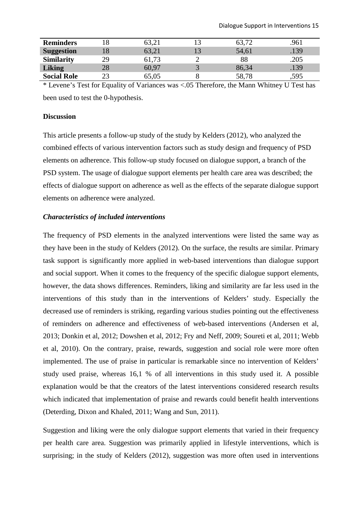| <b>Reminders</b>   |    | 63,21 | 63,72 | .961 |
|--------------------|----|-------|-------|------|
| <b>Suggestion</b>  |    | 63,21 | 54,61 | .139 |
| <b>Similarity</b>  | 29 | 61,73 | 88    | .205 |
| <b>Liking</b>      | 28 | 60,97 | 86,34 | .139 |
| <b>Social Role</b> |    | 65,05 | 58,78 | ,595 |

\* Levene's Test for Equality of Variances was <.05 Therefore, the Mann Whitney U Test has been used to test the 0-hypothesis.

## **Discussion**

This article presents a follow-up study of the study by Kelders (2012), who analyzed the combined effects of various intervention factors such as study design and frequency of PSD elements on adherence. This follow-up study focused on dialogue support, a branch of the PSD system. The usage of dialogue support elements per health care area was described; the effects of dialogue support on adherence as well as the effects of the separate dialogue support elements on adherence were analyzed.

### *Characteristics of included interventions*

The frequency of PSD elements in the analyzed interventions were listed the same way as they have been in the study of Kelders (2012). On the surface, the results are similar. Primary task support is significantly more applied in web-based interventions than dialogue support and social support. When it comes to the frequency of the specific dialogue support elements, however, the data shows differences. Reminders, liking and similarity are far less used in the interventions of this study than in the interventions of Kelders' study. Especially the decreased use of reminders is striking, regarding various studies pointing out the effectiveness of reminders on adherence and effectiveness of web-based interventions (Andersen et al, 2013; Donkin et al, 2012; Dowshen et al, 2012; Fry and Neff, 2009; Soureti et al, 2011; Webb et al, 2010). On the contrary, praise, rewards, suggestion and social role were more often implemented. The use of praise in particular is remarkable since no intervention of Kelders' study used praise, whereas 16,1 % of all interventions in this study used it. A possible explanation would be that the creators of the latest interventions considered research results which indicated that implementation of praise and rewards could benefit health interventions (Deterding, Dixon and Khaled, 2011; Wang and Sun, 2011).

Suggestion and liking were the only dialogue support elements that varied in their frequency per health care area. Suggestion was primarily applied in lifestyle interventions, which is surprising; in the study of Kelders (2012), suggestion was more often used in interventions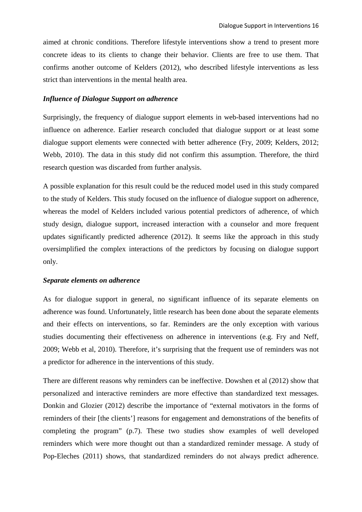aimed at chronic conditions. Therefore lifestyle interventions show a trend to present more concrete ideas to its clients to change their behavior. Clients are free to use them. That confirms another outcome of Kelders (2012), who described lifestyle interventions as less strict than interventions in the mental health area.

#### *Influence of Dialogue Support on adherence*

Surprisingly, the frequency of dialogue support elements in web-based interventions had no influence on adherence. Earlier research concluded that dialogue support or at least some dialogue support elements were connected with better adherence (Fry, 2009; Kelders, 2012; Webb, 2010). The data in this study did not confirm this assumption. Therefore, the third research question was discarded from further analysis.

A possible explanation for this result could be the reduced model used in this study compared to the study of Kelders. This study focused on the influence of dialogue support on adherence, whereas the model of Kelders included various potential predictors of adherence, of which study design, dialogue support, increased interaction with a counselor and more frequent updates significantly predicted adherence (2012). It seems like the approach in this study oversimplified the complex interactions of the predictors by focusing on dialogue support only.

### *Separate elements on adherence*

As for dialogue support in general, no significant influence of its separate elements on adherence was found. Unfortunately, little research has been done about the separate elements and their effects on interventions, so far. Reminders are the only exception with various studies documenting their effectiveness on adherence in interventions (e.g. Fry and Neff, 2009; Webb et al, 2010). Therefore, it's surprising that the frequent use of reminders was not a predictor for adherence in the interventions of this study.

There are different reasons why reminders can be ineffective. Dowshen et al (2012) show that personalized and interactive reminders are more effective than standardized text messages. Donkin and Glozier (2012) describe the importance of "external motivators in the forms of reminders of their [the clients'] reasons for engagement and demonstrations of the benefits of completing the program" (p.7). These two studies show examples of well developed reminders which were more thought out than a standardized reminder message. A study of Pop-Eleches (2011) shows, that standardized reminders do not always predict adherence.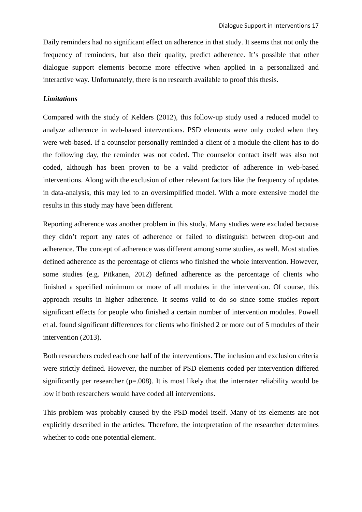Daily reminders had no significant effect on adherence in that study. It seems that not only the frequency of reminders, but also their quality, predict adherence. It's possible that other dialogue support elements become more effective when applied in a personalized and interactive way. Unfortunately, there is no research available to proof this thesis.

## *Limitations*

Compared with the study of Kelders (2012), this follow-up study used a reduced model to analyze adherence in web-based interventions. PSD elements were only coded when they were web-based. If a counselor personally reminded a client of a module the client has to do the following day, the reminder was not coded. The counselor contact itself was also not coded, although has been proven to be a valid predictor of adherence in web-based interventions. Along with the exclusion of other relevant factors like the frequency of updates in data-analysis, this may led to an oversimplified model. With a more extensive model the results in this study may have been different.

Reporting adherence was another problem in this study. Many studies were excluded because they didn't report any rates of adherence or failed to distinguish between drop-out and adherence. The concept of adherence was different among some studies, as well. Most studies defined adherence as the percentage of clients who finished the whole intervention. However, some studies (e.g. Pitkanen, 2012) defined adherence as the percentage of clients who finished a specified minimum or more of all modules in the intervention. Of course, this approach results in higher adherence. It seems valid to do so since some studies report significant effects for people who finished a certain number of intervention modules. Powell et al. found significant differences for clients who finished 2 or more out of 5 modules of their intervention (2013).

Both researchers coded each one half of the interventions. The inclusion and exclusion criteria were strictly defined. However, the number of PSD elements coded per intervention differed significantly per researcher (p=.008). It is most likely that the interrater reliability would be low if both researchers would have coded all interventions.

This problem was probably caused by the PSD-model itself. Many of its elements are not explicitly described in the articles. Therefore, the interpretation of the researcher determines whether to code one potential element.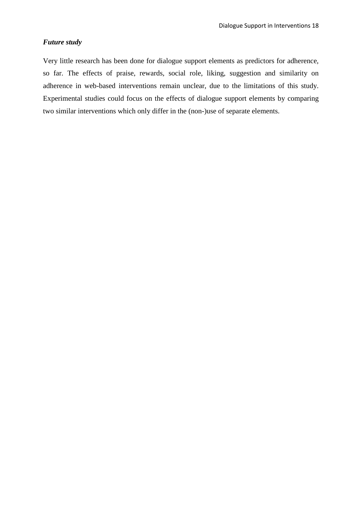# *Future study*

Very little research has been done for dialogue support elements as predictors for adherence, so far. The effects of praise, rewards, social role, liking, suggestion and similarity on adherence in web-based interventions remain unclear, due to the limitations of this study. Experimental studies could focus on the effects of dialogue support elements by comparing two similar interventions which only differ in the (non-)use of separate elements.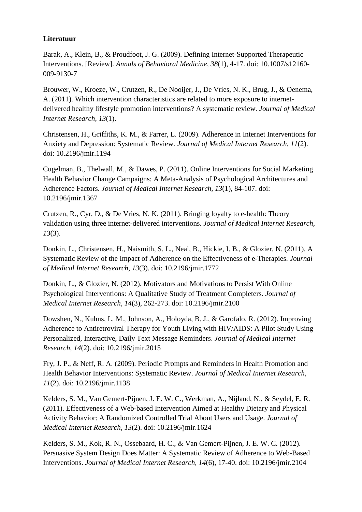# **Literatuur**

Barak, A., Klein, B., & Proudfoot, J. G. (2009). Defining Internet-Supported Therapeutic Interventions. [Review]. *Annals of Behavioral Medicine, 38*(1), 4-17. doi: 10.1007/s12160- 009-9130-7

Brouwer, W., Kroeze, W., Crutzen, R., De Nooijer, J., De Vries, N. K., Brug, J., & Oenema, A. (2011). Which intervention characteristics are related to more exposure to internetdelivered healthy lifestyle promotion interventions? A systematic review. *Journal of Medical Internet Research, 13*(1).

Christensen, H., Griffiths, K. M., & Farrer, L. (2009). Adherence in Internet Interventions for Anxiety and Depression: Systematic Review. *Journal of Medical Internet Research, 11*(2). doi: 10.2196/jmir.1194

Cugelman, B., Thelwall, M., & Dawes, P. (2011). Online Interventions for Social Marketing Health Behavior Change Campaigns: A Meta-Analysis of Psychological Architectures and Adherence Factors. *Journal of Medical Internet Research, 13*(1), 84-107. doi: 10.2196/jmir.1367

Crutzen, R., Cyr, D., & De Vries, N. K. (2011). Bringing loyalty to e-health: Theory validation using three internet-delivered interventions. *Journal of Medical Internet Research, 13*(3).

Donkin, L., Christensen, H., Naismith, S. L., Neal, B., Hickie, I. B., & Glozier, N. (2011). A Systematic Review of the Impact of Adherence on the Effectiveness of e-Therapies. *Journal of Medical Internet Research, 13*(3). doi: 10.2196/jmir.1772

Donkin, L., & Glozier, N. (2012). Motivators and Motivations to Persist With Online Psychological Interventions: A Qualitative Study of Treatment Completers. *Journal of Medical Internet Research, 14*(3), 262-273. doi: 10.2196/jmir.2100

Dowshen, N., Kuhns, L. M., Johnson, A., Holoyda, B. J., & Garofalo, R. (2012). Improving Adherence to Antiretroviral Therapy for Youth Living with HIV/AIDS: A Pilot Study Using Personalized, Interactive, Daily Text Message Reminders. *Journal of Medical Internet Research, 14*(2). doi: 10.2196/jmir.2015

Fry, J. P., & Neff, R. A. (2009). Periodic Prompts and Reminders in Health Promotion and Health Behavior Interventions: Systematic Review. *Journal of Medical Internet Research, 11*(2). doi: 10.2196/jmir.1138

Kelders, S. M., Van Gemert-Pijnen, J. E. W. C., Werkman, A., Nijland, N., & Seydel, E. R. (2011). Effectiveness of a Web-based Intervention Aimed at Healthy Dietary and Physical Activity Behavior: A Randomized Controlled Trial About Users and Usage. *Journal of Medical Internet Research, 13*(2). doi: 10.2196/jmir.1624

Kelders, S. M., Kok, R. N., Ossebaard, H. C., & Van Gemert-Pijnen, J. E. W. C. (2012). Persuasive System Design Does Matter: A Systematic Review of Adherence to Web-Based Interventions. *Journal of Medical Internet Research, 14*(6), 17-40. doi: 10.2196/jmir.2104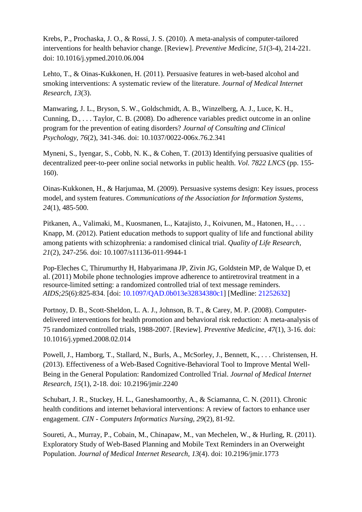Krebs, P., Prochaska, J. O., & Rossi, J. S. (2010). A meta-analysis of computer-tailored interventions for health behavior change. [Review]. *Preventive Medicine, 51*(3-4), 214-221. doi: 10.1016/j.ypmed.2010.06.004

Lehto, T., & Oinas-Kukkonen, H. (2011). Persuasive features in web-based alcohol and smoking interventions: A systematic review of the literature. *Journal of Medical Internet Research, 13*(3).

Manwaring, J. L., Bryson, S. W., Goldschmidt, A. B., Winzelberg, A. J., Luce, K. H., Cunning, D., . . . Taylor, C. B. (2008). Do adherence variables predict outcome in an online program for the prevention of eating disorders? *Journal of Consulting and Clinical Psychology, 76*(2), 341-346. doi: 10.1037/0022-006x.76.2.341

Myneni, S., Iyengar, S., Cobb, N. K., & Cohen, T. (2013) Identifying persuasive qualities of decentralized peer-to-peer online social networks in public health. *Vol. 7822 LNCS* (pp. 155- 160).

Oinas-Kukkonen, H., & Harjumaa, M. (2009). Persuasive systems design: Key issues, process model, and system features. *Communications of the Association for Information Systems, 24*(1), 485-500.

Pitkanen, A., Valimaki, M., Kuosmanen, L., Katajisto, J., Koivunen, M., Hatonen, H., . . . Knapp, M. (2012). Patient education methods to support quality of life and functional ability among patients with schizophrenia: a randomised clinical trial. *Quality of Life Research, 21*(2), 247-256. doi: 10.1007/s11136-011-9944-1

Pop-Eleches C, Thirumurthy H, Habyarimana JP, Zivin JG, Goldstein MP, de Walque D, et al. (2011) Mobile phone technologies improve adherence to antiretroviral treatment in a resource-limited setting: a randomized controlled trial of text message reminders. *AIDS;25*(6):825-834. [doi: 10.1097/QAD.0b013e32834380c1] [Medline: 21252632]

Portnoy, D. B., Scott-Sheldon, L. A. J., Johnson, B. T., & Carey, M. P. (2008). Computerdelivered interventions for health promotion and behavioral risk reduction: A meta-analysis of 75 randomized controlled trials, 1988-2007. [Review]. *Preventive Medicine, 47*(1), 3-16. doi: 10.1016/j.ypmed.2008.02.014

Powell, J., Hamborg, T., Stallard, N., Burls, A., McSorley, J., Bennett, K., . . . Christensen, H. (2013). Effectiveness of a Web-Based Cognitive-Behavioral Tool to Improve Mental Well-Being in the General Population: Randomized Controlled Trial. *Journal of Medical Internet Research, 15*(1), 2-18. doi: 10.2196/jmir.2240

Schubart, J. R., Stuckey, H. L., Ganeshamoorthy, A., & Sciamanna, C. N. (2011). Chronic health conditions and internet behavioral interventions: A review of factors to enhance user engagement. *CIN - Computers Informatics Nursing, 29*(2), 81-92.

Soureti, A., Murray, P., Cobain, M., Chinapaw, M., van Mechelen, W., & Hurling, R. (2011). Exploratory Study of Web-Based Planning and Mobile Text Reminders in an Overweight Population. *Journal of Medical Internet Research, 13*(4). doi: 10.2196/jmir.1773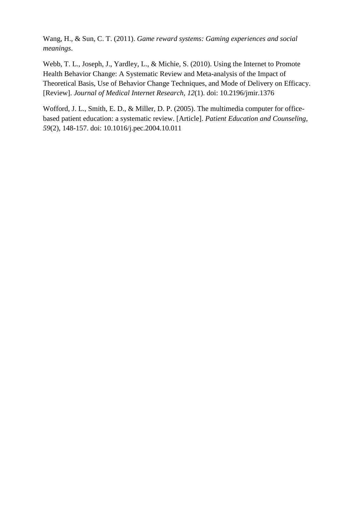Wang, H., & Sun, C. T. (2011). *Game reward systems: Gaming experiences and social meanings*.

Webb, T. L., Joseph, J., Yardley, L., & Michie, S. (2010). Using the Internet to Promote Health Behavior Change: A Systematic Review and Meta-analysis of the Impact of Theoretical Basis, Use of Behavior Change Techniques, and Mode of Delivery on Efficacy. [Review]. *Journal of Medical Internet Research, 12*(1). doi: 10.2196/jmir.1376

Wofford, J. L., Smith, E. D., & Miller, D. P. (2005). The multimedia computer for officebased patient education: a systematic review. [Article]. *Patient Education and Counseling, 59*(2), 148-157. doi: 10.1016/j.pec.2004.10.011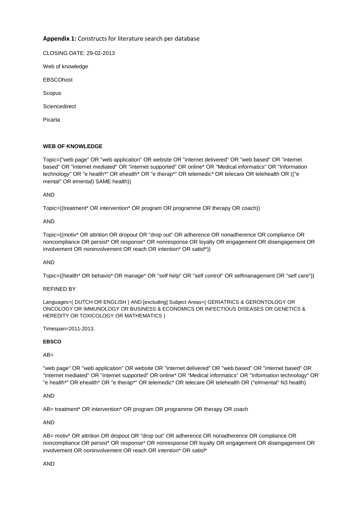## **Appendix 1:** Constructs for literature search per database

CLOSING DATE: 29-02-2013

Web of knowledge

**EBSCOhost** 

Scopus

**Sciencedirect** 

Picarta

#### **WEB OF KNOWLEDGE**

Topic=("web page" OR "web application" OR website OR "internet delivered" OR "web based" OR "internet based" OR "internet mediated" OR "internet supported" OR online\* OR "Medical informatics" OR "Information technology" OR "e health\*" OR ehealth\* OR "e therap\*" OR telemedic\* OR telecare OR telehealth OR (("e mental" OR emental) SAME health))

AND

Topic=((treatment\* OR intervention\* OR program OR programme OR therapy OR coach))

AND

Topic=((motiv\* OR attrition OR dropout OR "drop out" OR adherence OR nonadherence OR compliance OR noncompliance OR persist\* OR response\* OR nonresponse OR loyalty OR engagement OR disengagement OR involvement OR noninvolvement OR reach OR intention\* OR satisf\*))

AND

Topic=((health\* OR behavio\* OR manage\* OR "self help" OR "self control" OR selfmanagement OR "self care"))

#### REFINED BY

Languages=( DUTCH OR ENGLISH ) AND [excluding] Subject Areas=( GERIATRICS & GERONTOLOGY OR ONCOLOGY OR IMMUNOLOGY OR BUSINESS & ECONOMICS OR INFECTIOUS DISEASES OR GENETICS & HEREDITY OR TOXICOLOGY OR MATHEMATICS )

Timespan=2011-2013.

#### **EBSCO**

 $AB=$ 

"web page" OR "web application" OR website OR "internet delivered" OR "web based" OR "internet based" OR "internet mediated" OR "internet supported" OR online\* OR "Medical informatics" OR "Information technology" OR "e health\*" OR ehealth\* OR "e therap\*" OR telemedic\* OR telecare OR telehealth OR ("e#mental" N3 health)

AND

AB= treatment\* OR intervention\* OR program OR programme OR therapy OR coach

AND

AB= motiv\* OR attrition OR dropout OR "drop out" OR adherence OR nonadherence OR compliance OR noncompliance OR persist\* OR response\* OR nonresponse OR loyalty OR engagement OR disengagement OR involvement OR noninvolvement OR reach OR intention\* OR satisf\*

AND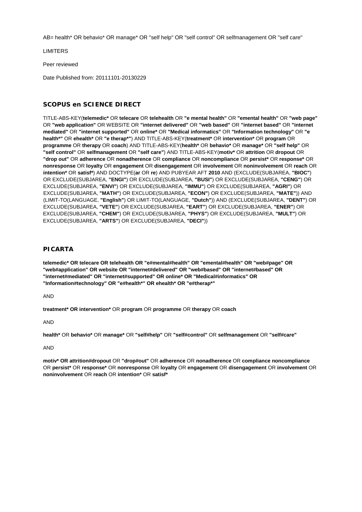AB= health\* OR behavio\* OR manage\* OR "self help" OR "self control" OR selfmanagement OR "self care"

LIMITERS

Peer reviewed

Date Published from: 20111101-20130229

#### **SCOPUS en SCIENCE DIRECT**

TITLE-ABS-KEY(**telemedic\*** OR **telecare** OR **telehealth** OR **"e mental health"** OR **"emental health"** OR **"web page"** OR **"web application"** OR WEBSITE OR **"internet delivered"** OR **"web based"** OR **"internet based"** OR **"internet mediated"** OR **"internet supported"** OR **online\*** OR **"Medical informatics"** OR **"Information technology"** OR **"e health\*"** OR **ehealth\*** OR **"e therap\*"**) AND TITLE-ABS-KEY(**treatment\*** OR **intervention\*** OR **program** OR **programme** OR **therapy** OR **coach**) AND TITLE-ABS-KEY(**health\*** OR **behavio\*** OR **manage\*** OR **"self help"** OR **"self control"** OR **selfmanagement** OR **"self care"**) AND TITLE-ABS-KEY(**motiv\*** OR **attrition** OR **dropout** OR **"drop out"** OR **adherence** OR **nonadherence** OR **compliance** OR **noncompliance** OR **persist\*** OR **response\*** OR **nonresponse** OR **loyalty** OR **engagement** OR **disengagement** OR **involvement** OR **noninvolvement** OR **reach** OR **intention\*** OR **satisf\***) AND DOCTYPE(**ar** OR **re**) AND PUBYEAR AFT **2010** AND (EXCLUDE(SUBJAREA, **"BIOC"**) OR EXCLUDE(SUBJAREA, **"ENGI"**) OR EXCLUDE(SUBJAREA, **"BUSI"**) OR EXCLUDE(SUBJAREA, **"CENG"**) OR EXCLUDE(SUBJAREA, **"ENVI"**) OR EXCLUDE(SUBJAREA, **"IMMU"**) OR EXCLUDE(SUBJAREA, **"AGRI"**) OR EXCLUDE(SUBJAREA, **"MATH"**) OR EXCLUDE(SUBJAREA, **"ECON"**) OR EXCLUDE(SUBJAREA, **"MATE"**)) AND (LIMIT-TO(LANGUAGE, **"English"**) OR LIMIT-TO(LANGUAGE, **"Dutch"**)) AND (EXCLUDE(SUBJAREA, **"DENT"**) OR EXCLUDE(SUBJAREA, **"VETE"**) OR EXCLUDE(SUBJAREA, **"EART"**) OR EXCLUDE(SUBJAREA, **"ENER"**) OR EXCLUDE(SUBJAREA, **"CHEM"**) OR EXCLUDE(SUBJAREA, **"PHYS"**) OR EXCLUDE(SUBJAREA, **"MULT"**) OR EXCLUDE(SUBJAREA, **"ARTS"**) OR EXCLUDE(SUBJAREA, **"DECI"**))

#### **PICARTA**

**telemedic\* OR telecare OR telehealth OR "e#mental#health" OR "emental#health" OR "web#page" OR "web#application" OR website OR "internet#delivered" OR "web#based" OR "internet#based" OR "internet#mediated" OR "internet#supported" OR online\* OR "Medical#informatics" OR "Information#technology" OR "e#health\*" OR ehealth\* OR "e#therap\*"**

AND

**treatment\* OR intervention\*** OR **program** OR **programme** OR **therapy** OR **coach**

AND

**health\*** OR **behavio\*** OR **manage\*** OR **"self#help"** OR **"self#control"** OR **selfmanagement** OR **"self#care"**

AND

**motiv\* OR attrition#dropout** OR **"drop#out"** OR **adherence** OR **nonadherence** OR **compliance noncompliance** OR **persist\*** OR **response\*** OR **nonresponse** OR **loyalty** OR **engagement** OR **disengagement** OR **involvement** OR **noninvolvement** OR **reach** OR **intention\*** OR **satisf\***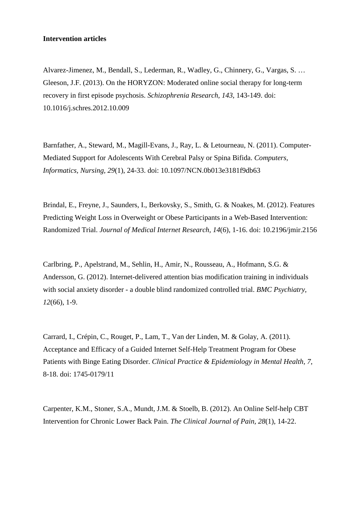# **Intervention articles**

Alvarez-Jimenez, M., Bendall, S., Lederman, R., Wadley, G., Chinnery, G., Vargas, S. … Gleeson, J.F. (2013). On the HORYZON: Moderated online social therapy for long-term recovery in first episode psychosis. *Schizophrenia Research, 143*, 143-149. doi: 10.1016/j.schres.2012.10.009

Barnfather, A., Steward, M., Magill-Evans, J., Ray, L. & Letourneau, N. (2011). Computer-Mediated Support for Adolescents With Cerebral Palsy or Spina Bifida. *Computers, Informatics, Nursing, 29*(1), 24-33. doi: 10.1097/NCN.0b013e3181f9db63

Brindal, E., Freyne, J., Saunders, I., Berkovsky, S., Smith, G. & Noakes, M. (2012). Features Predicting Weight Loss in Overweight or Obese Participants in a Web-Based Intervention: Randomized Trial. *Journal of Medical Internet Research, 14*(6), 1-16. doi: 10.2196/jmir.2156

Carlbring, P., Apelstrand, M., Sehlin, H., Amir, N., Rousseau, A., Hofmann, S.G. & Andersson, G. (2012). Internet-delivered attention bias modification training in individuals with social anxiety disorder - a double blind randomized controlled trial. *BMC Psychiatry, 12*(66), 1-9.

Carrard, I., Crépin, C., Rouget, P., Lam, T., Van der Linden, M. & Golay, A. (2011). Acceptance and Efficacy of a Guided Internet Self-Help Treatment Program for Obese Patients with Binge Eating Disorder. *Clinical Practice & Epidemiology in Mental Health, 7*, 8-18. doi: 1745-0179/11

Carpenter, K.M., Stoner, S.A., Mundt, J.M. & Stoelb, B. (2012). An Online Self-help CBT Intervention for Chronic Lower Back Pain. *The Clinical Journal of Pain, 28*(1), 14-22.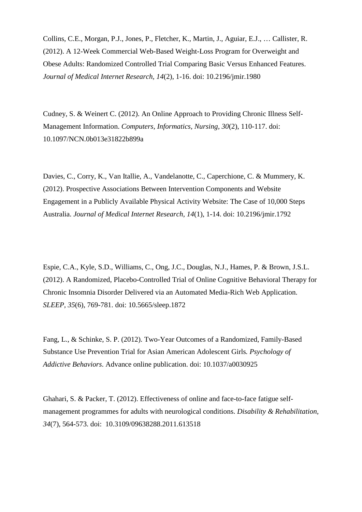Collins, C.E., Morgan, P.J., Jones, P., Fletcher, K., Martin, J., Aguiar, E.J., … Callister, R. (2012). A 12-Week Commercial Web-Based Weight-Loss Program for Overweight and Obese Adults: Randomized Controlled Trial Comparing Basic Versus Enhanced Features. *Journal of Medical Internet Research, 14*(2), 1-16. doi: 10.2196/jmir.1980

Cudney, S. & Weinert C. (2012). An Online Approach to Providing Chronic Illness Self-Management Information. *Computers, Informatics, Nursing, 30*(2), 110-117. doi: 10.1097/NCN.0b013e31822b899a

Davies, C., Corry, K., Van Itallie, A., Vandelanotte, C., Caperchione, C. & Mummery, K. (2012). Prospective Associations Between Intervention Components and Website Engagement in a Publicly Available Physical Activity Website: The Case of 10,000 Steps Australia. *Journal of Medical Internet Research, 14*(1), 1-14. doi: 10.2196/jmir.1792

Espie, C.A., Kyle, S.D., Williams, C., Ong, J.C., Douglas, N.J., Hames, P. & Brown, J.S.L. (2012). A Randomized, Placebo-Controlled Trial of Online Cognitive Behavioral Therapy for Chronic Insomnia Disorder Delivered via an Automated Media-Rich Web Application. *SLEEP, 35*(6), 769-781. doi: 10.5665/sleep.1872

Fang, L., & Schinke, S. P. (2012). Two-Year Outcomes of a Randomized, Family-Based Substance Use Prevention Trial for Asian American Adolescent Girls*. Psychology of Addictive Behaviors*. Advance online publication. doi: 10.1037/a0030925

Ghahari, S. & Packer, T. (2012). Effectiveness of online and face-to-face fatigue selfmanagement programmes for adults with neurological conditions. *Disability & Rehabilitation, 34*(7), 564-573. doi: 10.3109/09638288.2011.613518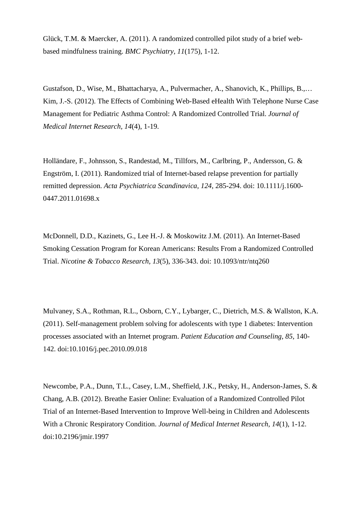Glück, T.M. & Maercker, A. (2011). A randomized controlled pilot study of a brief webbased mindfulness training. *BMC Psychiatry, 11*(175), 1-12.

Gustafson, D., Wise, M., Bhattacharya, A., Pulvermacher, A., Shanovich, K., Phillips, B.,… Kim, J.-S. (2012). The Effects of Combining Web-Based eHealth With Telephone Nurse Case Management for Pediatric Asthma Control: A Randomized Controlled Trial. *Journal of Medical Internet Research, 14*(4), 1-19.

Holländare, F., Johnsson, S., Randestad, M., Tillfors, M., Carlbring, P., Andersson, G. & Engström, I. (2011). Randomized trial of Internet-based relapse prevention for partially remitted depression. *Acta Psychiatrica Scandinavica, 124*, 285-294. doi: 10.1111/j.1600- 0447.2011.01698.x

McDonnell, D.D., Kazinets, G., Lee H.-J. & Moskowitz J.M. (2011). An Internet-Based Smoking Cessation Program for Korean Americans: Results From a Randomized Controlled Trial. *Nicotine & Tobacco Research, 13*(5), 336-343. doi: 10.1093/ntr/ntq260

Mulvaney, S.A., Rothman, R.L., Osborn, C.Y., Lybarger, C., Dietrich, M.S. & Wallston, K.A. (2011). Self-management problem solving for adolescents with type 1 diabetes: Intervention processes associated with an Internet program. *Patient Education and Counseling, 85*, 140- 142. doi:10.1016/j.pec.2010.09.018

Newcombe, P.A., Dunn, T.L., Casey, L.M., Sheffield, J.K., Petsky, H., Anderson-James, S. & Chang, A.B. (2012). Breathe Easier Online: Evaluation of a Randomized Controlled Pilot Trial of an Internet-Based Intervention to Improve Well-being in Children and Adolescents With a Chronic Respiratory Condition. *Journal of Medical Internet Research, 14*(1), 1-12. doi:10.2196/jmir.1997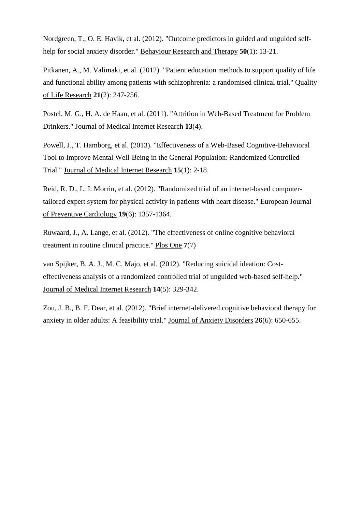Nordgreen, T., O. E. Havik, et al. (2012). "Outcome predictors in guided and unguided selfhelp for social anxiety disorder." Behaviour Research and Therapy **50**(1): 13-21.

Pitkanen, A., M. Valimaki, et al. (2012). "Patient education methods to support quality of life and functional ability among patients with schizophrenia: a randomised clinical trial." Quality of Life Research **21**(2): 247-256.

Postel, M. G., H. A. de Haan, et al. (2011). "Attrition in Web-Based Treatment for Problem Drinkers." Journal of Medical Internet Research **13**(4).

Powell, J., T. Hamborg, et al. (2013). "Effectiveness of a Web-Based Cognitive-Behavioral Tool to Improve Mental Well-Being in the General Population: Randomized Controlled Trial." Journal of Medical Internet Research **15**(1): 2-18.

Reid, R. D., L. I. Morrin, et al. (2012). "Randomized trial of an internet-based computertailored expert system for physical activity in patients with heart disease." European Journal of Preventive Cardiology **19**(6): 1357-1364.

Ruwaard, J., A. Lange, et al. (2012). "The effectiveness of online cognitive behavioral treatment in routine clinical practice." Plos One **7**(7)

van Spijker, B. A. J., M. C. Majo, et al. (2012). "Reducing suicidal ideation: Costeffectiveness analysis of a randomized controlled trial of unguided web-based self-help." Journal of Medical Internet Research **14**(5): 329-342.

Zou, J. B., B. F. Dear, et al. (2012). "Brief internet-delivered cognitive behavioral therapy for anxiety in older adults: A feasibility trial." Journal of Anxiety Disorders **26**(6): 650-655.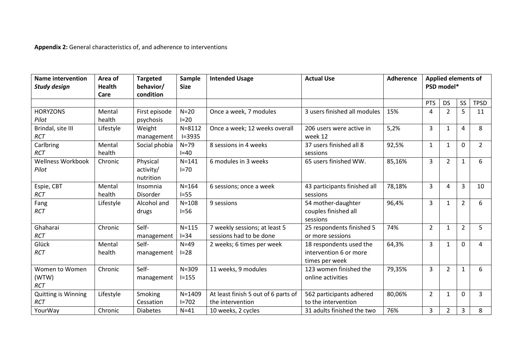**Appendix 2:** General characteristics of, and adherence to interventions

| <b>Name intervention</b><br><b>Study design</b> | Area of<br><b>Health</b><br>Care | <b>Targeted</b><br>behavior/<br>condition | Sample<br><b>Size</b>    | <b>Intended Usage</b>                                    | <b>Actual Use</b>                                                   | <b>Adherence</b> |                | <b>Applied elements of</b><br>PSD model* |                |             |
|-------------------------------------------------|----------------------------------|-------------------------------------------|--------------------------|----------------------------------------------------------|---------------------------------------------------------------------|------------------|----------------|------------------------------------------|----------------|-------------|
|                                                 |                                  |                                           |                          |                                                          |                                                                     |                  | PTS            | <b>DS</b>                                | SS             | <b>TPSD</b> |
| <b>HORYZONS</b><br>Pilot                        | Mental<br>health                 | First episode<br>psychosis                | $N=20$<br>$I=20$         | Once a week, 7 modules                                   | 3 users finished all modules                                        | 15%              | 4              | $\overline{2}$                           | 5 <sup>5</sup> | 11          |
| Brindal, site III<br><b>RCT</b>                 | Lifestyle                        | Weight<br>management                      | $N = 8112$<br>$I = 3935$ | Once a week; 12 weeks overall                            | 206 users were active in<br>week 12                                 | 5,2%             | $\overline{3}$ | 1                                        | $\overline{4}$ | 8           |
| Carlbring<br><b>RCT</b>                         | Mental<br>health                 | Social phobia                             | $N=79$<br>$I=40$         | 8 sessions in 4 weeks                                    | 37 users finished all 8<br>sessions                                 | 92,5%            | $\mathbf{1}$   | $\mathbf{1}$                             | $\Omega$       | $2^{\circ}$ |
| <b>Wellness Workbook</b><br>Pilot               | Chronic                          | Physical<br>activity/<br>nutrition        | $N = 141$<br>$I=70$      | 6 modules in 3 weeks                                     | 65 users finished WW.                                               | 85,16%           | 3              | $\overline{2}$                           | $\mathbf{1}$   | 6           |
| Espie, CBT<br><b>RCT</b>                        | Mental<br>health                 | Insomnia<br>Disorder                      | $N = 164$<br>$I=55$      | 6 sessions; once a week                                  | 43 participants finished all<br>sessions                            | 78,18%           | 3              | 4                                        | $\overline{3}$ | 10          |
| Fang<br><b>RCT</b>                              | Lifestyle                        | Alcohol and<br>drugs                      | $N = 108$<br>$I=56$      | 9 sessions                                               | 54 mother-daughter<br>couples finished all<br>sessions              | 96,4%            | $\overline{3}$ | 1                                        | $\overline{2}$ | 6           |
| Ghaharai<br><b>RCT</b>                          | Chronic                          | Self-<br>management                       | $N=115$<br>$I=34$        | 7 weekly sessions; at least 5<br>sessions had to be done | 25 respondents finished 5<br>or more sessions                       | 74%              | $\overline{2}$ | 1                                        | $\overline{2}$ | 5           |
| Glück<br><b>RCT</b>                             | Mental<br>health                 | Self-<br>management                       | $N=49$<br>$I=28$         | 2 weeks; 6 times per week                                | 18 respondents used the<br>intervention 6 or more<br>times per week | 64,3%            | 3              | 1                                        | $\Omega$       | 4           |
| Women to Women<br>(WTW)<br><b>RCT</b>           | Chronic                          | Self-<br>management                       | $N = 309$<br>$I = 155$   | 11 weeks, 9 modules                                      | 123 women finished the<br>online activities                         | 79,35%           | $\overline{3}$ | $\overline{2}$                           | $\mathbf{1}$   | 6           |
| <b>Quitting is Winning</b><br><b>RCT</b>        | Lifestyle                        | Smoking<br>Cessation                      | $N = 1409$<br>$I = 702$  | At least finish 5 out of 6 parts of<br>the intervention  | 562 participants adhered<br>to the intervention                     | 80,06%           | $\overline{2}$ | 1                                        | $\Omega$       | 3           |
| YourWay                                         | Chronic                          | <b>Diabetes</b>                           | $N=41$                   | 10 weeks, 2 cycles                                       | 31 adults finished the two                                          | 76%              | $\overline{3}$ | $\overline{2}$                           | $\overline{3}$ | 8           |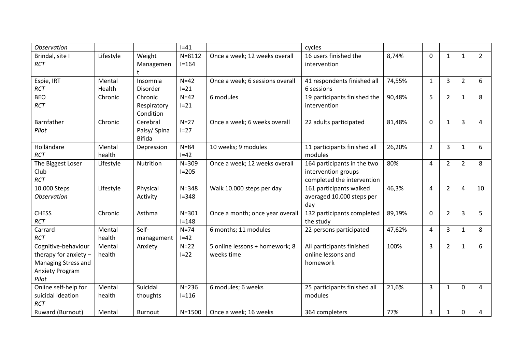| Observation                                                                                     |                  |                                          | $I = 41$                |                                              | cycles                                                                           |        |                |                |                |                |
|-------------------------------------------------------------------------------------------------|------------------|------------------------------------------|-------------------------|----------------------------------------------|----------------------------------------------------------------------------------|--------|----------------|----------------|----------------|----------------|
| Brindal, site I<br><b>RCT</b>                                                                   | Lifestyle        | Weight<br>Managemen                      | $N = 8112$<br>$I = 164$ | Once a week; 12 weeks overall                | 16 users finished the<br>intervention                                            | 8,74%  | $\mathbf{0}$   | $\mathbf{1}$   | $\mathbf{1}$   | $\overline{2}$ |
| Espie, IRT<br>RCT                                                                               | Mental<br>Health | Insomnia<br>Disorder                     | $N=42$<br>$I=21$        | Once a week; 6 sessions overall              | 41 respondents finished all<br>6 sessions                                        | 74,55% | $\mathbf{1}$   | $\overline{3}$ | $\overline{2}$ | 6              |
| <b>BEO</b><br>RCT                                                                               | Chronic          | Chronic<br>Respiratory<br>Condition      | $N=42$<br>$I=21$        | 6 modules                                    | 19 participants finished the<br>intervention                                     | 90,48% | 5              | $\overline{2}$ | $\mathbf{1}$   | 8              |
| Barnfather<br>Pilot                                                                             | Chronic          | Cerebral<br>Palsy/Spina<br><b>Bifida</b> | $N=27$<br>$I=27$        | Once a week; 6 weeks overall                 | 22 adults participated                                                           | 81,48% | $\mathbf{0}$   | $\mathbf{1}$   | $\overline{3}$ | 4              |
| Holländare<br><b>RCT</b>                                                                        | Mental<br>health | Depression                               | $N = 84$<br>$I=42$      | 10 weeks; 9 modules                          | 11 participants finished all<br>modules                                          | 26,20% | $\overline{2}$ | 3              | $\mathbf{1}$   | 6              |
| The Biggest Loser<br>Club<br><b>RCT</b>                                                         | Lifestyle        | Nutrition                                | $N = 309$<br>$I = 205$  | Once a week; 12 weeks overall                | 164 participants in the two<br>intervention groups<br>completed the intervention | 80%    | 4              | $\overline{2}$ | $\overline{2}$ | 8              |
| 10.000 Steps<br><b>Observation</b>                                                              | Lifestyle        | Physical<br>Activity                     | $N = 348$<br>$I = 348$  | Walk 10.000 steps per day                    | 161 participants walked<br>averaged 10.000 steps per<br>day                      | 46,3%  | 4              | $\overline{2}$ | $\overline{4}$ | 10             |
| <b>CHESS</b><br>RCT                                                                             | Chronic          | Asthma                                   | $N = 301$<br>$I = 148$  | Once a month; once year overall              | 132 participants completed<br>the study                                          | 89,19% | $\mathbf 0$    | $\overline{2}$ | 3              | 5              |
| Carrard<br><b>RCT</b>                                                                           | Mental<br>health | Self-<br>management                      | $N=74$<br>$I=42$        | 6 months; 11 modules                         | 22 persons participated                                                          | 47,62% | 4              | 3              | $\mathbf{1}$   | 8              |
| Cognitive-behaviour<br>therapy for anxiety -<br>Managing Stress and<br>Anxiety Program<br>Pilot | Mental<br>health | Anxiety                                  | $N=22$<br>$I=22$        | 5 online lessons + homework; 8<br>weeks time | All participants finished<br>online lessons and<br>homework                      | 100%   | $\overline{3}$ | $\overline{2}$ | $\mathbf{1}$   | 6              |
| Online self-help for<br>suicidal ideation<br><b>RCT</b>                                         | Mental<br>health | Suicidal<br>thoughts                     | $N = 236$<br>$I = 116$  | 6 modules; 6 weeks                           | 25 participants finished all<br>modules                                          | 21,6%  | 3              | $\mathbf{1}$   | $\mathbf 0$    | 4              |
| Ruward (Burnout)                                                                                | Mental           | <b>Burnout</b>                           | $N = 1500$              | Once a week; 16 weeks                        | 364 completers                                                                   | 77%    | 3              | $\mathbf{1}$   | $\mathbf 0$    | 4              |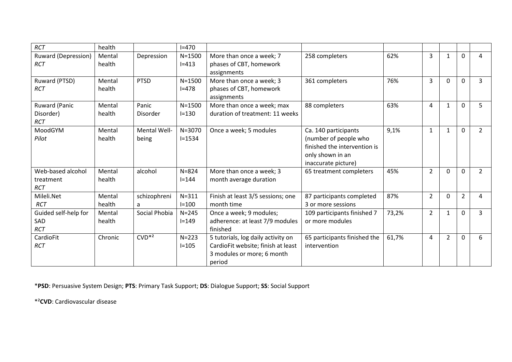| <b>RCT</b>                                   | health           |                              | $I = 470$                |                                                                                                                  |                                                                                                                          |       |                |                |                |                |
|----------------------------------------------|------------------|------------------------------|--------------------------|------------------------------------------------------------------------------------------------------------------|--------------------------------------------------------------------------------------------------------------------------|-------|----------------|----------------|----------------|----------------|
| <b>Ruward (Depression)</b><br><b>RCT</b>     | Mental<br>health | Depression                   | $N = 1500$<br>$I = 413$  | More than once a week; 7<br>phases of CBT, homework<br>assignments                                               | 258 completers                                                                                                           | 62%   | 3              | 1              | $\Omega$       | 4              |
| Ruward (PTSD)<br><b>RCT</b>                  | Mental<br>health | <b>PTSD</b>                  | $N = 1500$<br>$I = 478$  | More than once a week; 3<br>phases of CBT, homework<br>assignments                                               | 361 completers                                                                                                           | 76%   | $\overline{3}$ | $\Omega$       | $\mathbf 0$    | $\overline{3}$ |
| Ruward (Panic<br>Disorder)<br><b>RCT</b>     | Mental<br>health | Panic<br>Disorder            | $N = 1500$<br>$I = 130$  | More than once a week; max<br>duration of treatment: 11 weeks                                                    | 88 completers                                                                                                            | 63%   | 4              | $\mathbf{1}$   | $\mathbf{0}$   | 5              |
| MoodGYM<br>Pilot                             | Mental<br>health | <b>Mental Well-</b><br>being | $N = 3070$<br>$I = 1534$ | Once a week; 5 modules                                                                                           | Ca. 140 participants<br>(number of people who<br>finished the intervention is<br>only shown in an<br>inaccurate picture) | 9,1%  | $\mathbf{1}$   | 1              | $\Omega$       | $\overline{2}$ |
| Web-based alcohol<br>treatment<br><b>RCT</b> | Mental<br>health | alcohol                      | $N = 824$<br>$I = 144$   | More than once a week; 3<br>month average duration                                                               | 65 treatment completers                                                                                                  | 45%   | $\overline{2}$ | $\Omega$       | $\Omega$       | $\overline{2}$ |
| Mileli.Net<br><b>RCT</b>                     | Mental<br>health | schizophreni<br>a            | $N = 311$<br>$I = 100$   | Finish at least 3/5 sessions; one<br>month time                                                                  | 87 participants completed<br>3 or more sessions                                                                          | 87%   | $\overline{2}$ | $\Omega$       | $\overline{2}$ | 4              |
| Guided self-help for<br>SAD<br><b>RCT</b>    | Mental<br>health | Social Phobia                | $N = 245$<br>$I = 149$   | Once a week; 9 modules;<br>adherence: at least 7/9 modules<br>finished                                           | 109 participants finished 7<br>or more modules                                                                           | 73,2% | $\overline{2}$ | $\mathbf{1}$   | $\Omega$       | 3              |
| CardioFit<br><b>RCT</b>                      | Chronic          | $CVD^{*2}$                   | $N = 223$<br>$I = 105$   | 5 tutorials, log daily activity on<br>CardioFit website; finish at least<br>3 modules or more; 6 month<br>period | 65 participants finished the<br>intervention                                                                             | 61,7% | 4              | $\overline{2}$ | $\Omega$       | 6              |

\***PSD**: Persuasive System Design; **PTS**: Primary Task Support; **DS**: Dialogue Support; **SS**: Social Support

\*²**CVD**: Cardiovascular disease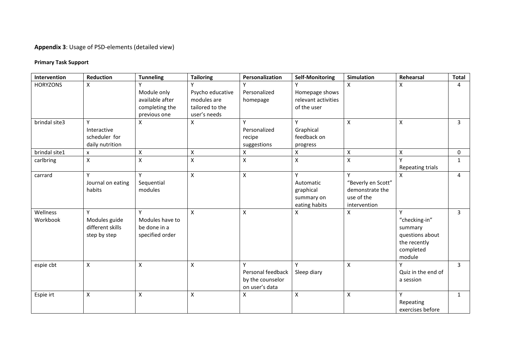# **Appendix 3**: Usage of PSD-elements (detailed view)

# **Primary Task Support**

| Intervention         | Reduction                                              | <b>Tunneling</b>                                                 | <b>Tailoring</b>                                                   | Personalization                                              | <b>Self-Monitoring</b>                                     | Simulation                                                               | Rehearsal                                                                               | <b>Total</b>   |
|----------------------|--------------------------------------------------------|------------------------------------------------------------------|--------------------------------------------------------------------|--------------------------------------------------------------|------------------------------------------------------------|--------------------------------------------------------------------------|-----------------------------------------------------------------------------------------|----------------|
| <b>HORYZONS</b>      | X                                                      | Module only<br>available after<br>completing the<br>previous one | Psycho educative<br>modules are<br>tailored to the<br>user's needs | Personalized<br>homepage                                     | Homepage shows<br>relevant activities<br>of the user       | X                                                                        | x                                                                                       | 4              |
| brindal site3        | Y<br>Interactive<br>scheduler for<br>daily nutrition   | X                                                                | X                                                                  | Y<br>Personalized<br>recipe<br>suggestions                   | Y<br>Graphical<br>feedback on<br>progress                  | $\pmb{\mathsf{X}}$                                                       | $\mathsf{x}$                                                                            | $\mathbf{3}$   |
| brindal site1        | X                                                      | $\pmb{\mathsf{X}}$                                               | $\pmb{\chi}$                                                       | $\pmb{\mathsf{X}}$                                           | Χ                                                          | $\pmb{\mathsf{X}}$                                                       | X                                                                                       | $\Omega$       |
| carlbring            | X                                                      | X                                                                | $\mathsf{x}$                                                       | $\mathsf{\chi}$                                              | X                                                          | $\pmb{\mathsf{X}}$                                                       | Repeating trials                                                                        | $\mathbf{1}$   |
| carrard              | Y<br>Journal on eating<br>habits                       | Y<br>Sequential<br>modules                                       | $\pmb{\times}$                                                     | $\pmb{\chi}$                                                 | Y<br>Automatic<br>graphical<br>summary on<br>eating habits | Y<br>"Beverly en Scott"<br>demonstrate the<br>use of the<br>intervention | X                                                                                       | $\overline{4}$ |
| Wellness<br>Workbook | Y<br>Modules guide<br>different skills<br>step by step | v<br>Modules have to<br>be done in a<br>specified order          | $\mathsf{x}$                                                       | $\pmb{\mathsf{X}}$                                           | Χ                                                          | $\pmb{\mathsf{X}}$                                                       | v<br>"checking-in"<br>summary<br>questions about<br>the recently<br>completed<br>module | $\mathbf{3}$   |
| espie cbt            | Χ                                                      | $\pmb{\mathsf{X}}$                                               | $\mathsf{x}$                                                       | Y<br>Personal feedback<br>by the counselor<br>on user's data | Y<br>Sleep diary                                           | $\pmb{\mathsf{X}}$                                                       | Υ<br>Quiz in the end of<br>a session                                                    | 3              |
| Espie irt            | X                                                      | X                                                                | $\pmb{\chi}$                                                       | X                                                            | X                                                          | $\pmb{\mathsf{X}}$                                                       | Y<br>Repeating<br>exercises before                                                      | $\mathbf{1}$   |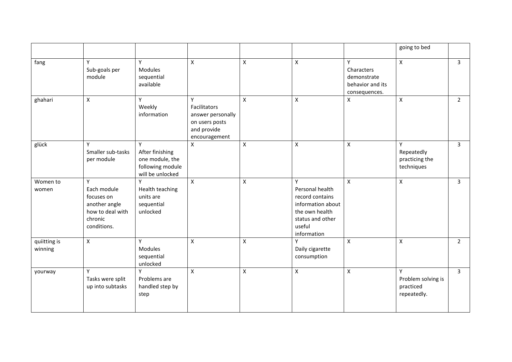|                         |                                                                                               |                                                                                 |                                                                                          |                    |                                                                                                                             |                                                                     | going to bed                                        |                |
|-------------------------|-----------------------------------------------------------------------------------------------|---------------------------------------------------------------------------------|------------------------------------------------------------------------------------------|--------------------|-----------------------------------------------------------------------------------------------------------------------------|---------------------------------------------------------------------|-----------------------------------------------------|----------------|
| fang                    | Y<br>Sub-goals per<br>module                                                                  | Y<br>Modules<br>sequential<br>available                                         | $\mathsf{X}$                                                                             | X                  | $\mathsf{X}$                                                                                                                | Y<br>Characters<br>demonstrate<br>behavior and its<br>consequences. | X                                                   | $\overline{3}$ |
| ghahari                 | $\mathsf{X}$                                                                                  | Y<br>Weekly<br>information                                                      | Y<br>Facilitators<br>answer personally<br>on users posts<br>and provide<br>encouragement | $\pmb{\mathsf{X}}$ | $\pmb{\times}$                                                                                                              | X                                                                   | Χ                                                   | $\overline{2}$ |
| glück                   | Υ<br>Smaller sub-tasks<br>per module                                                          | Y<br>After finishing<br>one module, the<br>following module<br>will be unlocked | $\pmb{\mathsf{X}}$                                                                       | $\pmb{\mathsf{X}}$ | $\pmb{\mathsf{X}}$                                                                                                          | $\pmb{\mathsf{X}}$                                                  | Y<br>Repeatedly<br>practicing the<br>techniques     | $\mathbf{3}$   |
| Women to<br>women       | Y<br>Each module<br>focuses on<br>another angle<br>how to deal with<br>chronic<br>conditions. | Y<br>Health teaching<br>units are<br>sequential<br>unlocked                     | $\mathsf{x}$                                                                             | $\pmb{\mathsf{X}}$ | Y<br>Personal health<br>record contains<br>information about<br>the own health<br>status and other<br>useful<br>information | $\mathsf{X}$                                                        | $\mathsf{X}$                                        | $\overline{3}$ |
| quiitting is<br>winning | X                                                                                             | Y<br><b>Modules</b><br>sequential<br>unlocked                                   | $\pmb{\times}$                                                                           | $\pmb{\times}$     | Υ<br>Daily cigarette<br>consumption                                                                                         | $\mathsf{X}$                                                        | X                                                   | $\overline{2}$ |
| yourway                 | Y<br>Tasks were split<br>up into subtasks                                                     | Y<br>Problems are<br>handled step by<br>step                                    | X                                                                                        | $\mathsf{x}$       | $\pmb{\times}$                                                                                                              | X                                                                   | Y<br>Problem solving is<br>practiced<br>repeatedly. | $\overline{3}$ |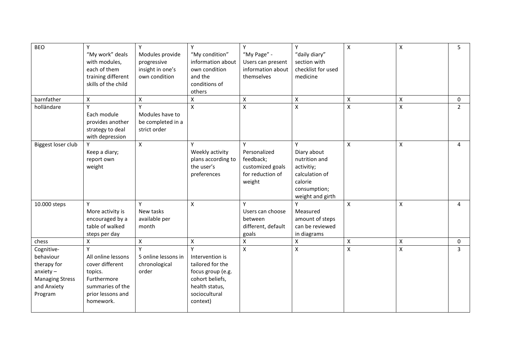| <b>BEO</b>                                                                                                 | Y<br>"My work" deals<br>with modules,<br>each of them<br>training different<br>skills of the child                         | Y<br>Modules provide<br>progressive<br>insight in one's<br>own condition | Y<br>"My condition"<br>information about<br>own condition<br>and the<br>conditions of<br>others                                 | Y<br>"My Page" -<br>Users can present<br>information about<br>themselves         | Y<br>"daily diary"<br>section with<br>checklist for used<br>medicine                                             | $\mathsf{X}$       | $\pmb{\mathsf{X}}$ | 5              |
|------------------------------------------------------------------------------------------------------------|----------------------------------------------------------------------------------------------------------------------------|--------------------------------------------------------------------------|---------------------------------------------------------------------------------------------------------------------------------|----------------------------------------------------------------------------------|------------------------------------------------------------------------------------------------------------------|--------------------|--------------------|----------------|
| barnfather                                                                                                 | $\pmb{\mathsf{X}}$                                                                                                         | $\pmb{\mathsf{X}}$                                                       | X                                                                                                                               | $\pmb{\mathsf{X}}$                                                               | $\pmb{\times}$                                                                                                   | X                  | $\pmb{\mathsf{X}}$ | 0              |
| holländare                                                                                                 | Each module<br>provides another<br>strategy to deal<br>with depression                                                     | γ<br>Modules have to<br>be completed in a<br>strict order                | X                                                                                                                               | $\pmb{\mathsf{X}}$                                                               | $\pmb{\mathsf{X}}$                                                                                               | $\pmb{\mathsf{X}}$ | $\mathsf{\chi}$    | $\overline{2}$ |
| Biggest loser club                                                                                         | Keep a diary;<br>report own<br>weight                                                                                      | $\pmb{\times}$                                                           | Υ<br>Weekly activity<br>plans according to<br>the user's<br>preferences                                                         | Y<br>Personalized<br>feedback;<br>customized goals<br>for reduction of<br>weight | Y<br>Diary about<br>nutrition and<br>activitiy;<br>calculation of<br>calorie<br>consumption;<br>weight and girth | $\pmb{\mathsf{X}}$ | $\pmb{\mathsf{X}}$ | 4              |
| 10.000 steps                                                                                               | Y<br>More activity is<br>encouraged by a<br>table of walked<br>steps per day                                               | $\mathsf{v}$<br>New tasks<br>available per<br>month                      | $\mathsf{X}$                                                                                                                    | Y<br>Users can choose<br>between<br>different, default<br>goals                  | Y<br>Measured<br>amount of steps<br>can be reviewed<br>in diagrams                                               | X                  | $\pmb{\mathsf{X}}$ | 4              |
| chess                                                                                                      | X                                                                                                                          | X                                                                        | Χ                                                                                                                               | $\pmb{\mathsf{X}}$                                                               | X                                                                                                                | Χ                  | $\pmb{\mathsf{X}}$ | 0              |
| Cognitive-<br>behaviour<br>therapy for<br>$anx$ iety –<br><b>Managing Stress</b><br>and Anxiety<br>Program | Y<br>All online lessons<br>cover different<br>topics.<br>Furthermore<br>summaries of the<br>prior lessons and<br>homework. | $\mathsf{v}$<br>5 online lessons in<br>chronological<br>order            | v<br>Intervention is<br>tailored for the<br>focus group (e.g.<br>cohort beliefs,<br>health status,<br>sociocultural<br>context) | $\pmb{\chi}$                                                                     | $\mathsf X$                                                                                                      | $\mathsf{X}$       | $\pmb{\chi}$       | $\overline{3}$ |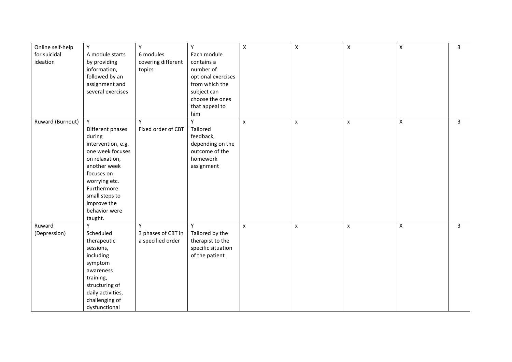| Online self-help<br>for suicidal<br>ideation | Y<br>A module starts<br>by providing<br>information,<br>followed by an<br>assignment and<br>several exercises                                                                                                          | Y<br>6 modules<br>covering different<br>topics | Y<br>Each module<br>contains a<br>number of<br>optional exercises<br>from which the<br>subject can<br>choose the ones<br>that appeal to<br>him | $\pmb{\mathsf{X}}$ | $\pmb{\times}$     | $\pmb{\mathsf{X}}$ | X | $\overline{3}$ |
|----------------------------------------------|------------------------------------------------------------------------------------------------------------------------------------------------------------------------------------------------------------------------|------------------------------------------------|------------------------------------------------------------------------------------------------------------------------------------------------|--------------------|--------------------|--------------------|---|----------------|
| Ruward (Burnout)                             | Y<br>Different phases<br>during<br>intervention, e.g.<br>one week focuses<br>on relaxation,<br>another week<br>focuses on<br>worrying etc.<br>Furthermore<br>small steps to<br>improve the<br>behavior were<br>taught. | Y<br>Fixed order of CBT                        | Y<br>Tailored<br>feedback,<br>depending on the<br>outcome of the<br>homework<br>assignment                                                     | $\pmb{\times}$     | $\pmb{\times}$     | $\pmb{\times}$     | X | $\mathbf{3}$   |
| Ruward<br>(Depression)                       | Y<br>Scheduled<br>therapeutic<br>sessions,<br>including<br>symptom<br>awareness<br>training,<br>structuring of<br>daily activities,<br>challenging of<br>dysfunctional                                                 | Y<br>3 phases of CBT in<br>a specified order   | Y<br>Tailored by the<br>therapist to the<br>specific situation<br>of the patient                                                               | $\pmb{\times}$     | $\pmb{\mathsf{x}}$ | $\pmb{\mathsf{x}}$ | X | $\overline{3}$ |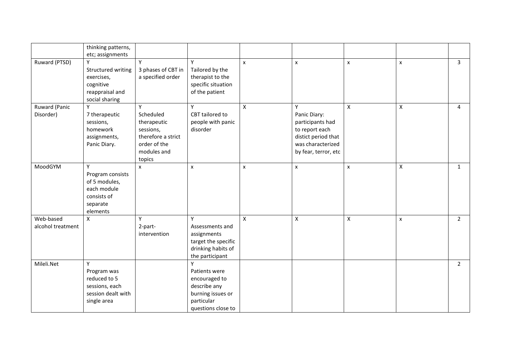|                                | thinking patterns,<br>etc; assignments                                                       |                                                                                                           |                                                                                                              |                           |                                                                                                                             |             |   |                |
|--------------------------------|----------------------------------------------------------------------------------------------|-----------------------------------------------------------------------------------------------------------|--------------------------------------------------------------------------------------------------------------|---------------------------|-----------------------------------------------------------------------------------------------------------------------------|-------------|---|----------------|
| Ruward (PTSD)                  | Structured writing<br>exercises,<br>cognitive<br>reappraisal and<br>social sharing           | Y<br>3 phases of CBT in<br>a specified order                                                              | Y<br>Tailored by the<br>therapist to the<br>specific situation<br>of the patient                             | $\mathsf{x}$              | $\mathsf{x}$                                                                                                                | X           | x | $\overline{3}$ |
| Ruward (Panic<br>Disorder)     | Y<br>7 therapeutic<br>sessions,<br>homework<br>assignments,<br>Panic Diary.                  | Y<br>Scheduled<br>therapeutic<br>sessions,<br>therefore a strict<br>order of the<br>modules and<br>topics | Υ<br>CBT tailored to<br>people with panic<br>disorder                                                        | $\boldsymbol{\mathsf{X}}$ | Y<br>Panic Diary:<br>participants had<br>to report each<br>distict period that<br>was characterized<br>by fear, terror, etc | X           | X | 4              |
| MoodGYM                        | Y<br>Program consists<br>of 5 modules,<br>each module<br>consists of<br>separate<br>elements | $\mathsf{x}$                                                                                              | X                                                                                                            | X                         | $\pmb{\times}$                                                                                                              | X           | X | 1              |
| Web-based<br>alcohol treatment | X                                                                                            | Y<br>2-part-<br>intervention                                                                              | Y<br>Assessments and<br>assignments<br>target the specific<br>drinking habits of<br>the participant          | $\mathsf X$               | $\mathsf{X}$                                                                                                                | $\mathsf X$ | x | $\overline{2}$ |
| Mileli.Net                     | Υ<br>Program was<br>reduced to 5<br>sessions, each<br>session dealt with<br>single area      |                                                                                                           | Y<br>Patients were<br>encouraged to<br>describe any<br>burning issues or<br>particular<br>questions close to |                           |                                                                                                                             |             |   | $2^{\circ}$    |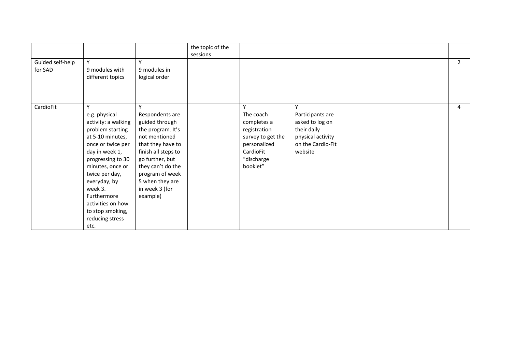|                             |                                                                                                                                                                                                                                                                                                   |                                                                                                                                                                                                                                      | the topic of the<br>sessions |                                                                                                                           |                                                                                                              |  |                |
|-----------------------------|---------------------------------------------------------------------------------------------------------------------------------------------------------------------------------------------------------------------------------------------------------------------------------------------------|--------------------------------------------------------------------------------------------------------------------------------------------------------------------------------------------------------------------------------------|------------------------------|---------------------------------------------------------------------------------------------------------------------------|--------------------------------------------------------------------------------------------------------------|--|----------------|
| Guided self-help<br>for SAD | Y<br>9 modules with<br>different topics                                                                                                                                                                                                                                                           | Y<br>9 modules in<br>logical order                                                                                                                                                                                                   |                              |                                                                                                                           |                                                                                                              |  | $\overline{2}$ |
| CardioFit                   | Y<br>e.g. physical<br>activity: a walking<br>problem starting<br>at 5-10 minutes,<br>once or twice per<br>day in week 1,<br>progressing to 30<br>minutes, once or<br>twice per day,<br>everyday, by<br>week 3.<br>Furthermore<br>activities on how<br>to stop smoking,<br>reducing stress<br>etc. | Υ<br>Respondents are<br>guided through<br>the program. It's<br>not mentioned<br>that they have to<br>finish all steps to<br>go further, but<br>they can't do the<br>program of week<br>5 when they are<br>in week 3 (for<br>example) |                              | Y<br>The coach<br>completes a<br>registration<br>survey to get the<br>personalized<br>CardioFit<br>"discharge<br>booklet" | ۷<br>Participants are<br>asked to log on<br>their daily<br>physical activity<br>on the Cardio-Fit<br>website |  | 4              |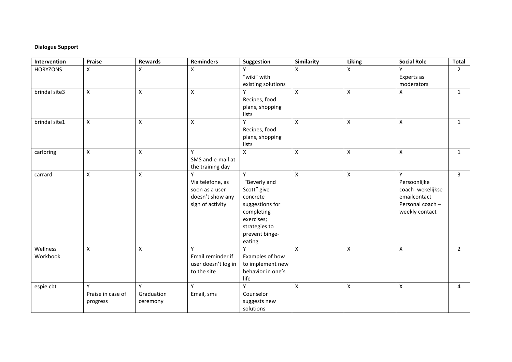## **Dialogue Support**

| Intervention         | Praise                        | <b>Rewards</b>              | <b>Reminders</b>                                                                | Suggestion                                                                                                                               | Similarity                | <b>Liking</b>      | <b>Social Role</b>                                                                          | <b>Total</b>   |
|----------------------|-------------------------------|-----------------------------|---------------------------------------------------------------------------------|------------------------------------------------------------------------------------------------------------------------------------------|---------------------------|--------------------|---------------------------------------------------------------------------------------------|----------------|
| <b>HORYZONS</b>      | X                             | X                           | Χ                                                                               | "wiki" with<br>existing solutions                                                                                                        | X                         | $\pmb{\mathsf{X}}$ | Experts as<br>moderators                                                                    | $\overline{2}$ |
| brindal site3        | $\mathsf{X}$                  | $\pmb{\times}$              | $\mathsf{X}$                                                                    | Y<br>Recipes, food<br>plans, shopping<br>lists                                                                                           | $\pmb{\mathsf{X}}$        | $\mathsf{x}$       | $\pmb{\times}$                                                                              | 1              |
| brindal site1        | X                             | $\boldsymbol{\mathsf{X}}$   | $\pmb{\times}$                                                                  | Y<br>Recipes, food<br>plans, shopping<br>lists                                                                                           | $\mathsf{X}$              | $\pmb{\mathsf{X}}$ | $\pmb{\mathsf{X}}$                                                                          | $\mathbf{1}$   |
| carlbring            | Χ                             | $\pmb{\times}$              | Y<br>SMS and e-mail at<br>the training day                                      | X                                                                                                                                        | $\pmb{\mathsf{X}}$        | $\mathsf X$        | $\pmb{\times}$                                                                              | $\mathbf{1}$   |
| carrard              | X                             | $\pmb{\times}$              | Υ<br>Via telefone, as<br>soon as a user<br>doesn't show any<br>sign of activity | Y<br>"Beverly and<br>Scott" give<br>concrete<br>suggestions for<br>completing<br>exercises;<br>strategies to<br>prevent binge-<br>eating | $\pmb{\times}$            | $\pmb{\mathsf{X}}$ | Y<br>Persoonlijke<br>coach-wekelijkse<br>emailcontact<br>Personal coach -<br>weekly contact | $\mathbf{3}$   |
| Wellness<br>Workbook | Χ                             | X                           | Υ<br>Email reminder if<br>user doesn't log in<br>to the site                    | Υ<br>Examples of how<br>to implement new<br>behavior in one's<br>life                                                                    | $\boldsymbol{\mathsf{X}}$ | $\pmb{\mathsf{X}}$ | $\pmb{\mathsf{X}}$                                                                          | $\overline{2}$ |
| espie cbt            | Praise in case of<br>progress | Y<br>Graduation<br>ceremony | Y<br>Email, sms                                                                 | Y<br>Counselor<br>suggests new<br>solutions                                                                                              | X                         | $\pmb{\mathsf{X}}$ | $\pmb{\mathsf{X}}$                                                                          | 4              |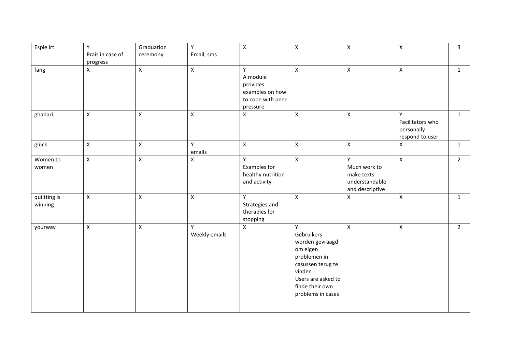| Espie irt               | Y                            | Graduation         | Υ                  | $\pmb{\mathsf{X}}$                                                            | $\mathsf X$                                                                                                                                                 | $\pmb{\times}$                                                       | $\mathsf{X}$                                           | $\mathbf{3}$ |
|-------------------------|------------------------------|--------------------|--------------------|-------------------------------------------------------------------------------|-------------------------------------------------------------------------------------------------------------------------------------------------------------|----------------------------------------------------------------------|--------------------------------------------------------|--------------|
|                         | Prais in case of<br>progress | ceremony           | Email, sms         |                                                                               |                                                                                                                                                             |                                                                      |                                                        |              |
| fang                    | X                            | $\mathsf X$        | $\pmb{\mathsf{X}}$ | Y<br>A module<br>provides<br>examples on how<br>to cope with peer<br>pressure | $\mathsf{X}$                                                                                                                                                | $\mathsf{X}$                                                         | $\mathsf{X}$                                           | $\mathbf{1}$ |
| ghahari                 | $\pmb{\mathsf{X}}$           | $\pmb{\mathsf{X}}$ | $\mathsf X$        | $\pmb{\mathsf{X}}$                                                            | $\pmb{\times}$                                                                                                                                              | $\pmb{\times}$                                                       | Y<br>Facilitators who<br>personally<br>respond to user | $\mathbf{1}$ |
| glück                   | X                            | $\mathsf X$        | Y<br>emails        | $\mathsf X$                                                                   | $\pmb{\times}$                                                                                                                                              | $\pmb{\times}$                                                       | Χ                                                      | $\mathbf{1}$ |
| Women to<br>women       | $\mathsf X$                  | $\pmb{\mathsf{X}}$ | Χ                  | Υ<br>Examples for<br>healthy nutrition<br>and activity                        | $\mathsf{X}$                                                                                                                                                | Y<br>Much work to<br>make texts<br>understandable<br>and descriptive | $\mathsf{X}$                                           | $2^{\circ}$  |
| quiitting is<br>winning | $\mathsf{X}$                 | $\pmb{\times}$     | $\pmb{\chi}$       | Y<br>Strategies and<br>therapies for<br>stopping                              | $\mathsf{X}$                                                                                                                                                | $\mathsf{X}$                                                         | $\mathsf{X}$                                           | $\mathbf{1}$ |
| yourway                 | X                            | $\pmb{\mathsf{X}}$ | Y<br>Weekly emails | $\pmb{\mathsf{X}}$                                                            | Y<br>Gebruikers<br>worden gevraagd<br>om eigen<br>problemen in<br>casussen terug te<br>vinden<br>Users are asked to<br>finde their own<br>problems in cases | $\pmb{\times}$                                                       | $\pmb{\mathsf{X}}$                                     | $2^{\circ}$  |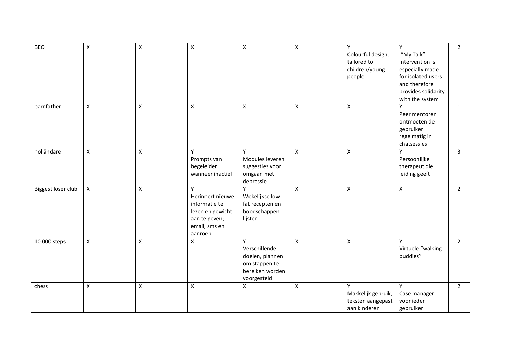| <b>BEO</b>         | $\mathsf X$        | $\pmb{\times}$ | $\pmb{\mathsf{X}}$ | $\pmb{\times}$     | $\pmb{\mathsf{X}}$ | Y                  | Y                   | $2^{\circ}$    |
|--------------------|--------------------|----------------|--------------------|--------------------|--------------------|--------------------|---------------------|----------------|
|                    |                    |                |                    |                    |                    | Colourful design,  | "My Talk":          |                |
|                    |                    |                |                    |                    |                    | tailored to        | Intervention is     |                |
|                    |                    |                |                    |                    |                    | children/young     | especially made     |                |
|                    |                    |                |                    |                    |                    | people             | for isolated users  |                |
|                    |                    |                |                    |                    |                    |                    | and therefore       |                |
|                    |                    |                |                    |                    |                    |                    | provides solidarity |                |
|                    |                    |                |                    |                    |                    |                    | with the system     |                |
| barnfather         | $\mathsf{X}$       | $\pmb{\times}$ | $\pmb{\times}$     | $\pmb{\mathsf{X}}$ | $\mathsf{X}$       | $\pmb{\times}$     | Y                   | $\mathbf{1}$   |
|                    |                    |                |                    |                    |                    |                    | Peer mentoren       |                |
|                    |                    |                |                    |                    |                    |                    | ontmoeten de        |                |
|                    |                    |                |                    |                    |                    |                    | gebruiker           |                |
|                    |                    |                |                    |                    |                    |                    | regelmatig in       |                |
|                    |                    |                |                    |                    |                    |                    | chatsessies         |                |
| holländare         | $\pmb{\times}$     | $\mathsf X$    | Υ                  | Y                  | $\pmb{\times}$     | $\pmb{\times}$     | Y                   | $\mathbf{3}$   |
|                    |                    |                |                    | Modules leveren    |                    |                    | Persoonlijke        |                |
|                    |                    |                | Prompts van        |                    |                    |                    |                     |                |
|                    |                    |                | begeleider         | suggesties voor    |                    |                    | therapeut die       |                |
|                    |                    |                | wanneer inactief   | omgaan met         |                    |                    | leiding geeft       |                |
|                    |                    |                |                    | depressie          |                    |                    |                     |                |
| Biggest loser club | $\mathsf{X}$       | $\pmb{\times}$ | Y                  | $\mathsf{v}$       | X                  | $\pmb{\times}$     | $\pmb{\mathsf{X}}$  | $2^{\circ}$    |
|                    |                    |                | Herinnert nieuwe   | Wekelijkse low-    |                    |                    |                     |                |
|                    |                    |                | informatie te      | fat recepten en    |                    |                    |                     |                |
|                    |                    |                | lezen en gewicht   | boodschappen-      |                    |                    |                     |                |
|                    |                    |                | aan te geven;      | lijsten            |                    |                    |                     |                |
|                    |                    |                | email, sms en      |                    |                    |                    |                     |                |
|                    |                    |                | aanroep            |                    |                    |                    |                     |                |
| 10.000 steps       | $\pmb{\times}$     | $\pmb{\times}$ | X                  | Y                  | $\pmb{\times}$     | $\pmb{\times}$     | Y                   | $\overline{2}$ |
|                    |                    |                |                    | Verschillende      |                    |                    | Virtuele "walking   |                |
|                    |                    |                |                    | doelen, plannen    |                    |                    | buddies"            |                |
|                    |                    |                |                    | om stappen te      |                    |                    |                     |                |
|                    |                    |                |                    | bereiken worden    |                    |                    |                     |                |
|                    |                    |                |                    | voorgesteld        |                    |                    |                     |                |
| chess              | $\pmb{\mathsf{X}}$ | X              | X                  | $\pmb{\mathsf{X}}$ | X                  | Y                  | Y                   | $2^{\circ}$    |
|                    |                    |                |                    |                    |                    | Makkelijk gebruik, | Case manager        |                |
|                    |                    |                |                    |                    |                    | teksten aangepast  | voor ieder          |                |
|                    |                    |                |                    |                    |                    | aan kinderen       | gebruiker           |                |
|                    |                    |                |                    |                    |                    |                    |                     |                |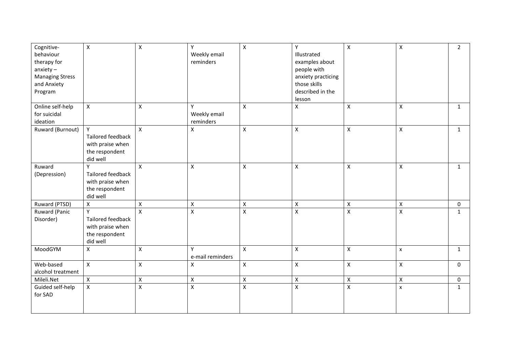| Cognitive-<br>behaviour<br>therapy for<br>$anxie$ ty -<br><b>Managing Stress</b><br>and Anxiety | $\mathsf{X}$                                                             | $\pmb{\times}$     | Υ<br>Weekly email<br>reminders | $\mathsf{x}$       | Υ<br>Illustrated<br>examples about<br>people with<br>anxiety practicing<br>those skills | $\mathsf X$        | $\mathsf{X}$       | $\overline{2}$ |
|-------------------------------------------------------------------------------------------------|--------------------------------------------------------------------------|--------------------|--------------------------------|--------------------|-----------------------------------------------------------------------------------------|--------------------|--------------------|----------------|
| Program                                                                                         |                                                                          |                    |                                |                    | described in the<br>lesson                                                              |                    |                    |                |
| Online self-help<br>for suicidal<br>ideation                                                    | $\mathsf{X}$                                                             | $\mathsf{X}$       | Y<br>Weekly email<br>reminders | $\mathsf{X}$       | $\pmb{\times}$                                                                          | X                  | X                  | $\mathbf{1}$   |
| Ruward (Burnout)                                                                                | Y<br>Tailored feedback<br>with praise when<br>the respondent<br>did well | $\mathsf{X}$       | X                              | $\pmb{\times}$     | $\mathsf{x}$                                                                            | $\pmb{\times}$     | X                  | $\mathbf{1}$   |
| Ruward<br>(Depression)                                                                          | Y<br>Tailored feedback<br>with praise when<br>the respondent<br>did well | $\mathsf{X}$       | $\pmb{\mathsf{X}}$             | $\pmb{\mathsf{X}}$ | $\pmb{\times}$                                                                          | $\pmb{\times}$     | Χ                  | 1              |
| Ruward (PTSD)                                                                                   | $\mathsf X$                                                              | $\pmb{\times}$     | $\pmb{\times}$                 | $\mathsf X$        | $\mathsf X$                                                                             | $\pmb{\times}$     | $\pmb{\mathsf{X}}$ | $\mathbf 0$    |
| Ruward (Panic<br>Disorder)                                                                      | Y<br>Tailored feedback<br>with praise when<br>the respondent<br>did well | $\mathsf{x}$       | $\pmb{\mathsf{X}}$             | $\pmb{\mathsf{X}}$ | $\mathsf{x}$                                                                            | $\pmb{\mathsf{X}}$ | X                  | $\mathbf{1}$   |
| MoodGYM                                                                                         | X                                                                        | $\mathsf{X}$       | Y<br>e-mail reminders          | $\mathsf{x}$       | $\mathsf{X}$                                                                            | $\pmb{\times}$     | x                  | $\mathbf{1}$   |
| Web-based<br>alcohol treatment                                                                  | $\mathsf X$                                                              | $\pmb{\mathsf{X}}$ | $\pmb{\mathsf{X}}$             | $\mathsf X$        | $\mathsf X$                                                                             | $\pmb{\times}$     | X                  | 0              |
| Mileli.Net                                                                                      | $\mathsf{X}$                                                             | $\pmb{\mathsf{X}}$ | $\pmb{\mathsf{X}}$             | $\pmb{\mathsf{X}}$ | $\mathsf{X}$                                                                            | $\pmb{\times}$     | $\mathsf{x}$       | 0              |
| Guided self-help<br>for SAD                                                                     | $\pmb{\mathsf{X}}$                                                       | $\pmb{\mathsf{X}}$ | $\pmb{\mathsf{X}}$             | $\pmb{\mathsf{X}}$ | $\pmb{\mathsf{X}}$                                                                      | $\pmb{\mathsf{X}}$ | X                  | $\mathbf{1}$   |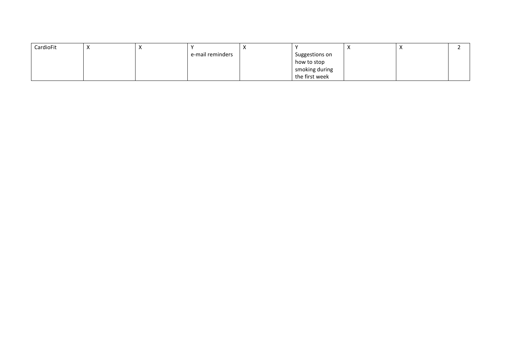| CardioFit |  |                  | $\cdot$<br>$\lambda$ |                | $\lambda$ |  |
|-----------|--|------------------|----------------------|----------------|-----------|--|
|           |  | e-mail reminders |                      | Suggestions on |           |  |
|           |  |                  |                      | how to stop    |           |  |
|           |  |                  |                      | smoking during |           |  |
|           |  |                  |                      | the first week |           |  |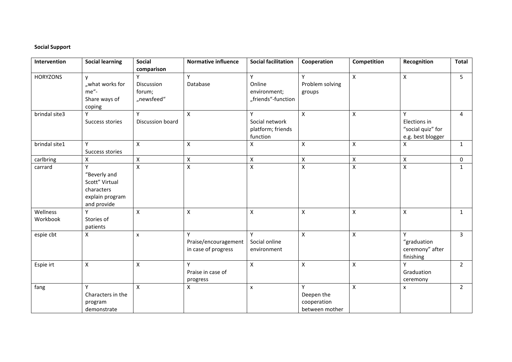## **Social Support**

| Intervention    | <b>Social learning</b> | <b>Social</b>      | <b>Normative influence</b> | <b>Social facilitation</b> | Cooperation        | Competition        | Recognition        | <b>Total</b>   |
|-----------------|------------------------|--------------------|----------------------------|----------------------------|--------------------|--------------------|--------------------|----------------|
|                 |                        | comparison         |                            |                            |                    |                    |                    |                |
| <b>HORYZONS</b> | $\mathsf{v}$           |                    | Y                          | Y                          | Y                  | $\pmb{\times}$     | $\pmb{\mathsf{X}}$ | 5              |
|                 | "what works for        | Discussion         | Database                   | Online                     | Problem solving    |                    |                    |                |
|                 | me"-                   | forum;             |                            | environment;               | groups             |                    |                    |                |
|                 | Share ways of          | "newsfeed"         |                            | "friends"-function         |                    |                    |                    |                |
|                 | coping                 |                    |                            |                            |                    |                    |                    |                |
| brindal site3   | Y                      | Y                  | X                          | Y                          | X                  | X                  | Y                  | $\overline{4}$ |
|                 | Success stories        | Discussion board   |                            | Social network             |                    |                    | Elections in       |                |
|                 |                        |                    |                            | platform; friends          |                    |                    | "social quiz" for  |                |
|                 |                        |                    |                            | function                   |                    |                    | e.g. best blogger  |                |
| brindal site1   | Y                      | $\mathsf{X}$       | $\mathsf{X}$               | X                          | $\pmb{\times}$     | $\mathsf{x}$       | X                  | $\mathbf{1}$   |
|                 | Success stories        |                    |                            |                            |                    |                    |                    |                |
| carlbring       | X                      | $\mathsf X$        | $\pmb{\chi}$               | $\pmb{\mathsf{X}}$         | $\pmb{\times}$     | $\pmb{\mathsf{X}}$ | $\pmb{\mathsf{X}}$ | $\mathbf 0$    |
| carrard         | Υ                      | $\pmb{\mathsf{X}}$ | $\mathsf{X}$               | $\pmb{\mathsf{X}}$         | $\pmb{\mathsf{X}}$ | $\pmb{\mathsf{X}}$ | $\pmb{\mathsf{X}}$ | 1              |
|                 | "Beverly and           |                    |                            |                            |                    |                    |                    |                |
|                 | Scott" Virtual         |                    |                            |                            |                    |                    |                    |                |
|                 | characters             |                    |                            |                            |                    |                    |                    |                |
|                 | explain program        |                    |                            |                            |                    |                    |                    |                |
|                 | and provide            |                    |                            |                            |                    |                    |                    |                |
| Wellness        |                        | $\mathsf{x}$       | $\pmb{\times}$             | $\pmb{\mathsf{X}}$         | $\pmb{\times}$     | $\pmb{\mathsf{X}}$ | $\pmb{\mathsf{X}}$ | $\mathbf{1}$   |
| Workbook        | Stories of             |                    |                            |                            |                    |                    |                    |                |
|                 | patients               |                    |                            |                            |                    |                    |                    |                |
| espie cbt       | X                      | $\pmb{\times}$     | $\mathsf{v}$               | Y                          | $\pmb{\mathsf{X}}$ | $\pmb{\chi}$       | Y                  | $\overline{3}$ |
|                 |                        |                    | Praise/encouragement       | Social online              |                    |                    | "graduation        |                |
|                 |                        |                    | in case of progress        | environment                |                    |                    | ceremony" after    |                |
|                 |                        |                    |                            |                            |                    |                    | finishing          |                |
| Espie irt       | X                      | X                  | Y                          | X                          | X                  | $\pmb{\mathsf{X}}$ | Y                  | $\overline{2}$ |
|                 |                        |                    | Praise in case of          |                            |                    |                    | Graduation         |                |
|                 |                        |                    | progress                   |                            |                    |                    | ceremony           |                |
| fang            | Υ                      | $\mathsf{x}$       | $\pmb{\times}$             | $\pmb{\times}$             | Y                  | $\pmb{\mathsf{X}}$ | $\pmb{\times}$     | $\overline{2}$ |
|                 | Characters in the      |                    |                            |                            | Deepen the         |                    |                    |                |
|                 | program                |                    |                            |                            | cooperation        |                    |                    |                |
|                 | demonstrate            |                    |                            |                            | between mother     |                    |                    |                |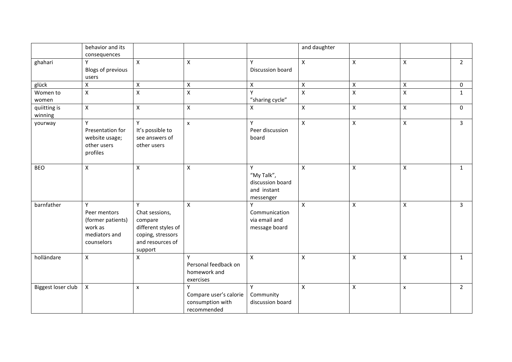|                         | behavior and its<br>consequences                                                            |                                                                                                           |                                                                |                                                                 | and daughter       |                    |                    |                |
|-------------------------|---------------------------------------------------------------------------------------------|-----------------------------------------------------------------------------------------------------------|----------------------------------------------------------------|-----------------------------------------------------------------|--------------------|--------------------|--------------------|----------------|
| ghahari                 | Υ<br>Blogs of previous<br>users                                                             | $\mathsf{X}$                                                                                              | $\pmb{\times}$                                                 | Υ<br>Discussion board                                           | $\mathsf{X}$       | $\pmb{\mathsf{X}}$ | $\pmb{\times}$     | $2^{\circ}$    |
| glück                   | $\pmb{\mathsf{X}}$                                                                          | $\pmb{\times}$                                                                                            | $\pmb{\times}$                                                 | X                                                               | $\pmb{\times}$     | $\pmb{\mathsf{X}}$ | $\mathsf{X}$       | 0              |
| Women to<br>women       | $\pmb{\times}$                                                                              | $\pmb{\mathsf{X}}$                                                                                        | $\pmb{\mathsf{X}}$                                             | Y<br>"sharing cycle"                                            | $\mathsf X$        | $\pmb{\mathsf{X}}$ | $\pmb{\mathsf{X}}$ | $\mathbf{1}$   |
| quiitting is<br>winning | $\pmb{\times}$                                                                              | $\mathsf{X}$                                                                                              | $\pmb{\times}$                                                 | $\pmb{\mathsf{X}}$                                              | $\pmb{\mathsf{X}}$ | $\pmb{\times}$     | $\pmb{\times}$     | 0              |
| yourway                 | Y<br>Presentation for<br>website usage;<br>other users<br>profiles                          | Y<br>It's possible to<br>see answers of<br>other users                                                    | $\boldsymbol{\mathsf{x}}$                                      | Υ<br>Peer discussion<br>board                                   | $\mathsf{x}$       | $\pmb{\times}$     | $\pmb{\times}$     | $\overline{3}$ |
| <b>BEO</b>              | $\pmb{\mathsf{X}}$                                                                          | $\pmb{\mathsf{X}}$                                                                                        | $\pmb{\times}$                                                 | Y<br>"My Talk",<br>discussion board<br>and instant<br>messenger | $\mathsf{x}$       | $\pmb{\mathsf{X}}$ | $\mathsf{X}$       | $\mathbf{1}$   |
| barnfather              | $\mathsf{v}$<br>Peer mentors<br>(former patients)<br>work as<br>mediators and<br>counselors | Y<br>Chat sessions,<br>compare<br>different styles of<br>coping, stressors<br>and resources of<br>support | $\mathsf{X}$                                                   | Y<br>Communication<br>via email and<br>message board            | $\mathsf{x}$       | $\pmb{\times}$     | $\mathsf{x}$       | $\overline{3}$ |
| holländare              | $\pmb{\times}$                                                                              | X                                                                                                         | γ<br>Personal feedback on<br>homework and<br>exercises         | $\boldsymbol{\mathsf{X}}$                                       | $\pmb{\times}$     | $\pmb{\times}$     | $\mathsf{X}$       | $\mathbf{1}$   |
| Biggest loser club      | $\pmb{\times}$                                                                              | X                                                                                                         | Y<br>Compare user's calorie<br>consumption with<br>recommended | Y<br>Community<br>discussion board                              | $\mathsf{x}$       | $\pmb{\times}$     | $\pmb{\mathsf{X}}$ | $2^{\circ}$    |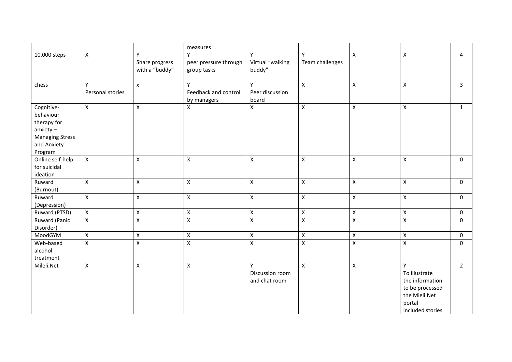|                        |                    |                         | measures              |                    |                         |                    |                  |                |
|------------------------|--------------------|-------------------------|-----------------------|--------------------|-------------------------|--------------------|------------------|----------------|
| 10.000 steps           | $\pmb{\times}$     | Y                       | Y                     | Y                  | Y                       | $\mathsf{X}$       | $\mathsf{X}$     | $\overline{4}$ |
|                        |                    | Share progress          | peer pressure through | Virtual "walking   | Team challenges         |                    |                  |                |
|                        |                    | with a "buddy"          | group tasks           | buddy"             |                         |                    |                  |                |
| chess                  | Y                  | $\mathsf{x}$            | Y                     | Y                  | $\pmb{\times}$          | $\pmb{\times}$     | $\mathsf{X}$     | $\overline{3}$ |
|                        | Personal stories   |                         | Feedback and control  | Peer discussion    |                         |                    |                  |                |
|                        |                    |                         | by managers           | board              |                         |                    |                  |                |
| Cognitive-             | $\pmb{\mathsf{X}}$ | $\mathsf{X}$            | $\mathsf X$           | Χ                  | $\mathsf X$             | $\mathsf X$        | $\mathsf X$      | $\mathbf{1}$   |
| behaviour              |                    |                         |                       |                    |                         |                    |                  |                |
| therapy for            |                    |                         |                       |                    |                         |                    |                  |                |
| $anxiety -$            |                    |                         |                       |                    |                         |                    |                  |                |
| <b>Managing Stress</b> |                    |                         |                       |                    |                         |                    |                  |                |
| and Anxiety            |                    |                         |                       |                    |                         |                    |                  |                |
| Program                |                    |                         |                       |                    |                         |                    |                  |                |
| Online self-help       | $\pmb{\times}$     | $\pmb{\mathsf{X}}$      | $\pmb{\mathsf{X}}$    | Χ                  | $\mathsf X$             | $\pmb{\times}$     | $\pmb{\times}$   | $\mathbf 0$    |
| for suicidal           |                    |                         |                       |                    |                         |                    |                  |                |
| ideation               |                    |                         |                       |                    |                         |                    |                  |                |
| Ruward                 | $\pmb{\times}$     | $\mathsf{x}$            | $\pmb{\times}$        | $\pmb{\mathsf{X}}$ | $\pmb{\mathsf{X}}$      | $\pmb{\times}$     | $\mathsf{X}$     | $\mathbf{0}$   |
| (Burnout)              |                    |                         |                       |                    |                         |                    |                  |                |
| Ruward                 | $\mathsf X$        | $\mathsf{x}$            | $\pmb{\times}$        | Χ                  | $\pmb{\times}$          | $\mathsf X$        | $\mathsf{X}$     | $\mathbf{0}$   |
| (Depression)           |                    |                         |                       |                    |                         |                    |                  |                |
| Ruward (PTSD)          | $\pmb{\times}$     | $\mathsf{X}$            | $\mathsf X$           | $\pmb{\mathsf{X}}$ | $\mathsf X$             | $\mathsf X$        | $\pmb{\chi}$     | $\mathbf 0$    |
| Ruward (Panic          | $\pmb{\times}$     | $\overline{\mathsf{x}}$ | $\pmb{\mathsf{X}}$    | $\pmb{\mathsf{X}}$ | $\overline{\mathsf{x}}$ | $\mathsf X$        | $\mathsf X$      | $\mathbf 0$    |
| Disorder)              |                    |                         |                       |                    |                         |                    |                  |                |
| MoodGYM                | $\pmb{\mathsf{X}}$ | $\pmb{\mathsf{X}}$      | $\mathsf X$           | X                  | $\mathsf X$             | $\mathsf X$        | $\mathsf X$      | $\mathbf 0$    |
| Web-based              | $\pmb{\mathsf{X}}$ | $\overline{\mathsf{x}}$ | $\mathsf X$           | $\mathsf{X}$       | $\overline{X}$          | $\pmb{\mathsf{X}}$ | $\mathsf X$      | $\mathbf 0$    |
| alcohol                |                    |                         |                       |                    |                         |                    |                  |                |
| treatment              |                    |                         |                       |                    |                         |                    |                  |                |
| Mileli.Net             | $\pmb{\times}$     | $\mathsf{x}$            | $\pmb{\times}$        | Y                  | $\pmb{\times}$          | $\mathsf{X}$       | Y                | $\overline{2}$ |
|                        |                    |                         |                       | Discussion room    |                         |                    | To illustrate    |                |
|                        |                    |                         |                       | and chat room      |                         |                    | the information  |                |
|                        |                    |                         |                       |                    |                         |                    | to be processed  |                |
|                        |                    |                         |                       |                    |                         |                    | the Mieli.Net    |                |
|                        |                    |                         |                       |                    |                         |                    | portal           |                |
|                        |                    |                         |                       |                    |                         |                    | included stories |                |